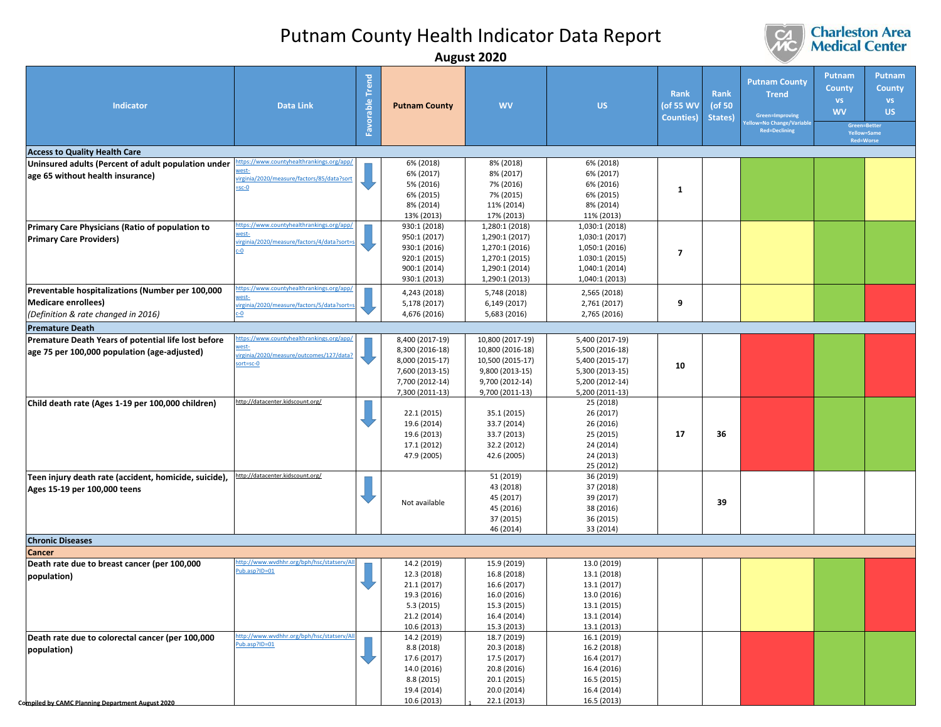

|                                                                                                                       |                                                                                                          |                           |                                                                                                                | August ZUZU                                                                                                       |                                                                                                                |                                        |                           |                                                                                                         |                                                                |                                                                            |
|-----------------------------------------------------------------------------------------------------------------------|----------------------------------------------------------------------------------------------------------|---------------------------|----------------------------------------------------------------------------------------------------------------|-------------------------------------------------------------------------------------------------------------------|----------------------------------------------------------------------------------------------------------------|----------------------------------------|---------------------------|---------------------------------------------------------------------------------------------------------|----------------------------------------------------------------|----------------------------------------------------------------------------|
| Indicator                                                                                                             | <b>Data Link</b>                                                                                         | <b>Trend</b><br>Favorable | <b>Putnam County</b>                                                                                           | <b>WV</b>                                                                                                         | US.                                                                                                            | Rank<br>(of 55 WV<br><b>Counties</b> ) | Rank<br>(of 50<br>States) | <b>Putnam County</b><br><b>Trend</b><br>Green=Improving<br>w=No Change/Variable<br><b>Red=Declining</b> | Putnam<br><b>County</b><br><b>VS</b><br><b>WV</b><br>Red=Worse | Putnam<br><b>County</b><br><b>VS</b><br>US.<br>Green=Better<br>Yellow=Same |
|                                                                                                                       |                                                                                                          |                           |                                                                                                                |                                                                                                                   |                                                                                                                |                                        |                           |                                                                                                         |                                                                |                                                                            |
| <b>Access to Quality Health Care</b>                                                                                  | tps://www.countyhealthrankings.org/app                                                                   |                           |                                                                                                                |                                                                                                                   |                                                                                                                |                                        |                           |                                                                                                         |                                                                |                                                                            |
| Uninsured adults (Percent of adult population under<br>age 65 without health insurance)                               | vest-<br>virginia/2020/measure/factors/85/data?sor<br>$-sc-0$                                            |                           | 6% (2018)<br>6% (2017)<br>5% (2016)<br>6% (2015)<br>8% (2014)<br>13% (2013)                                    | 8% (2018)<br>8% (2017)<br>7% (2016)<br>7% (2015)<br>11% (2014)<br>17% (2013)                                      | 6% (2018)<br>6% (2017)<br>6% (2016)<br>6% (2015)<br>8% (2014)<br>11% (2013)                                    | 1                                      |                           |                                                                                                         |                                                                |                                                                            |
| Primary Care Physicians (Ratio of population to                                                                       | https://www.countyhealthrankings.org/app/                                                                |                           | 930:1 (2018)                                                                                                   | 1,280:1 (2018)                                                                                                    | 1,030:1 (2018)                                                                                                 |                                        |                           |                                                                                                         |                                                                |                                                                            |
| <b>Primary Care Providers)</b>                                                                                        | west-<br>virginia/2020/measure/factors/4/data?sort<br>c-0                                                |                           | 950:1 (2017)<br>930:1 (2016)<br>920:1 (2015)<br>900:1 (2014)<br>930:1 (2013)                                   | 1,290:1 (2017)<br>1,270:1 (2016)<br>1,270:1 (2015)<br>1,290:1 (2014)<br>1,290:1 (2013)                            | 1,030:1 (2017)<br>1,050:1 (2016)<br>1.030:1 (2015)<br>1,040:1 (2014)<br>1,040:1 (2013)                         | 7                                      |                           |                                                                                                         |                                                                |                                                                            |
| Preventable hospitalizations (Number per 100,000<br><b>Medicare enrollees)</b><br>(Definition & rate changed in 2016) | https://www.countyhealthrankings.org/app/<br>vest-<br>virginia/2020/measure/factors/5/data?sort<br>$c-0$ |                           | 4,243 (2018)<br>5,178 (2017)<br>4,676 (2016)                                                                   | 5,748 (2018)<br>6,149 (2017)<br>5,683 (2016)                                                                      | 2,565 (2018)<br>2,761 (2017)<br>2,765 (2016)                                                                   | 9                                      |                           |                                                                                                         |                                                                |                                                                            |
|                                                                                                                       |                                                                                                          |                           |                                                                                                                |                                                                                                                   |                                                                                                                |                                        |                           |                                                                                                         |                                                                |                                                                            |
| <b>Premature Death</b>                                                                                                | ttps://www.countyhealthrankings.org/app,                                                                 |                           |                                                                                                                |                                                                                                                   |                                                                                                                |                                        |                           |                                                                                                         |                                                                |                                                                            |
| Premature Death Years of potential life lost before<br>age 75 per 100,000 population (age-adjusted)                   | vest-<br>virginia/2020/measure/outcomes/127/data?<br>sort=sc-0                                           |                           | 8,400 (2017-19)<br>8,300 (2016-18)<br>8,000 (2015-17)<br>7,600 (2013-15)<br>7,700 (2012-14)<br>7,300 (2011-13) | 10,800 (2017-19)<br>10,800 (2016-18)<br>10,500 (2015-17)<br>9,800 (2013-15)<br>9,700 (2012-14)<br>9,700 (2011-13) | 5,400 (2017-19)<br>5,500 (2016-18)<br>5,400 (2015-17)<br>5,300 (2013-15)<br>5,200 (2012-14)<br>5,200 (2011-13) | 10                                     |                           |                                                                                                         |                                                                |                                                                            |
| Child death rate (Ages 1-19 per 100,000 children)                                                                     | http://datacenter.kidscount.org/                                                                         |                           | 22.1 (2015)<br>19.6 (2014)<br>19.6 (2013)<br>17.1 (2012)<br>47.9 (2005)                                        | 35.1 (2015)<br>33.7 (2014)<br>33.7 (2013)<br>32.2 (2012)<br>42.6 (2005)                                           | 25 (2018)<br>26 (2017)<br>26 (2016)<br>25 (2015)<br>24 (2014)<br>24 (2013)<br>25 (2012)                        | 17                                     | 36                        |                                                                                                         |                                                                |                                                                            |
| Teen injury death rate (accident, homicide, suicide),<br>Ages 15-19 per 100,000 teens                                 | http://datacenter.kidscount.org/                                                                         |                           | Not available                                                                                                  | 51 (2019)<br>43 (2018)<br>45 (2017)<br>45 (2016)<br>37 (2015)<br>46 (2014)                                        | 36 (2019)<br>37 (2018)<br>39 (2017)<br>38 (2016)<br>36 (2015)<br>33 (2014)                                     |                                        | 39                        |                                                                                                         |                                                                |                                                                            |
| <b>Chronic Diseases</b>                                                                                               |                                                                                                          |                           |                                                                                                                |                                                                                                                   |                                                                                                                |                                        |                           |                                                                                                         |                                                                |                                                                            |
| Cancer                                                                                                                |                                                                                                          |                           |                                                                                                                |                                                                                                                   |                                                                                                                |                                        |                           |                                                                                                         |                                                                |                                                                            |
| Death rate due to breast cancer (per 100,000<br>population)                                                           | http://www.wvdhhr.org/bph/hsc/statserv/Al<br>ub.asp?ID=01                                                |                           | 14.2 (2019)<br>12.3 (2018)<br>21.1 (2017)<br>19.3 (2016)<br>5.3(2015)<br>21.2 (2014)<br>10.6 (2013)            | 15.9 (2019)<br>16.8 (2018)<br>16.6 (2017)<br>16.0 (2016)<br>15.3 (2015)<br>16.4 (2014)<br>15.3 (2013)             | 13.0 (2019)<br>13.1 (2018)<br>13.1 (2017)<br>13.0 (2016)<br>13.1 (2015)<br>13.1 (2014)<br>13.1 (2013)          |                                        |                           |                                                                                                         |                                                                |                                                                            |
| Death rate due to colorectal cancer (per 100,000<br>population)<br>Compiled by CAMC Planning Department August 2020   | http://www.wydhhr.org/bph/hsc/statsery/Al<br>Pub.asp?ID=01                                               |                           | 14.2 (2019)<br>8.8 (2018)<br>17.6 (2017)<br>14.0 (2016)<br>8.8 (2015)<br>19.4 (2014)<br>10.6 (2013)            | 18.7 (2019)<br>20.3 (2018)<br>17.5 (2017)<br>20.8 (2016)<br>20.1 (2015)<br>20.0 (2014)<br>22.1 (2013)             | 16.1 (2019)<br>16.2 (2018)<br>16.4 (2017)<br>16.4 (2016)<br>16.5 (2015)<br>16.4 (2014)<br>16.5 (2013)          |                                        |                           |                                                                                                         |                                                                |                                                                            |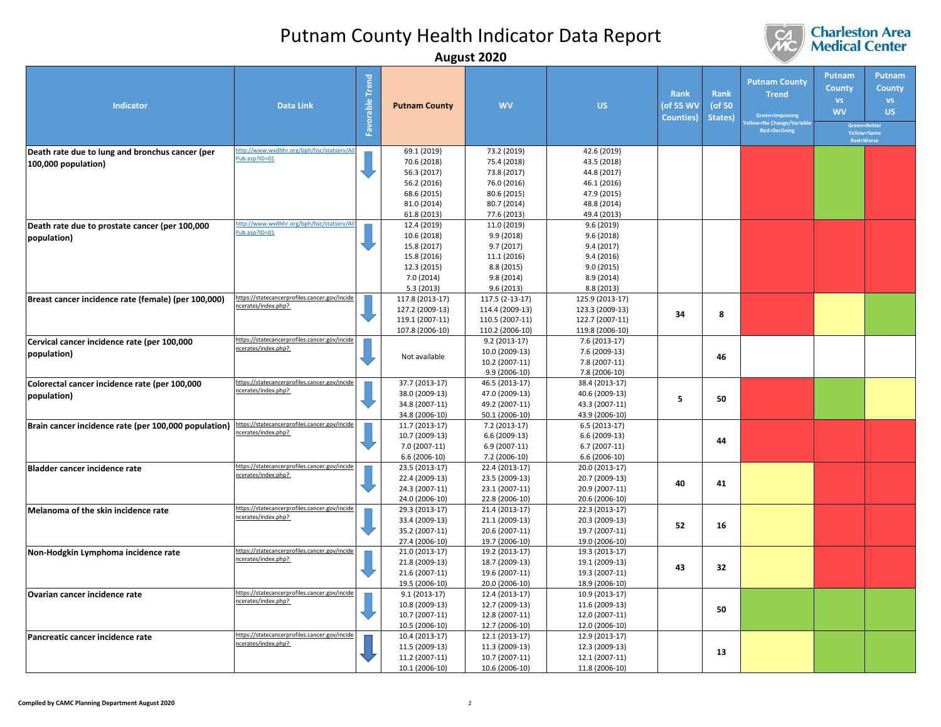

|                                                                        |                                                                      |                    |                                                                                                       | August ZUZU                                                                                           |                                                                                                       |                                               |                              |                                                                                                         |                                                                |                                                                                  |
|------------------------------------------------------------------------|----------------------------------------------------------------------|--------------------|-------------------------------------------------------------------------------------------------------|-------------------------------------------------------------------------------------------------------|-------------------------------------------------------------------------------------------------------|-----------------------------------------------|------------------------------|---------------------------------------------------------------------------------------------------------|----------------------------------------------------------------|----------------------------------------------------------------------------------|
| Indicator                                                              | <b>Data Link</b>                                                     | Trend<br>Favorable | <b>Putnam County</b>                                                                                  | <b>WV</b>                                                                                             | <b>US</b>                                                                                             | <b>Rank</b><br>(of 55 WV<br><b>Counties</b> ) | Rank<br>( $of 50$<br>States) | <b>Putnam County</b><br><b>Trend</b><br>Green=Improving<br>bw=No Change/Variabl<br><b>Red=Declining</b> | Putnam<br><b>County</b><br><b>VS</b><br><b>WV</b><br>Red=Worse | Putnam<br><b>County</b><br><b>VS</b><br><b>US</b><br>Green=Better<br>Yellow=Same |
| Death rate due to lung and bronchus cancer (per<br>100,000 population) | ttp://www.wvdhhr.org/bph/hsc/statserv/All<br>ub.asp?ID=01            |                    | 69.1 (2019)<br>70.6 (2018)<br>56.3 (2017)<br>56.2 (2016)<br>68.6 (2015)<br>81.0 (2014)<br>61.8 (2013) | 73.2 (2019)<br>75.4 (2018)<br>73.8 (2017)<br>76.0 (2016)<br>80.6 (2015)<br>80.7 (2014)<br>77.6 (2013) | 42.6 (2019)<br>43.5 (2018)<br>44.8 (2017)<br>46.1 (2016)<br>47.9 (2015)<br>48.8 (2014)<br>49.4 (2013) |                                               |                              |                                                                                                         |                                                                |                                                                                  |
| Death rate due to prostate cancer (per 100,000<br>population)          | ttp://www.wvdhhr.org/bph/hsc/statserv/All<br>ub.asp?ID=01            |                    | 12.4 (2019)<br>10.6 (2018)<br>15.8 (2017)<br>15.8 (2016)<br>12.3 (2015)<br>7.0 (2014)<br>5.3(2013)    | 11.0 (2019)<br>9.9(2018)<br>9.7(2017)<br>11.1 (2016)<br>8.8 (2015)<br>9.8(2014)<br>9.6(2013)          | 9.6(2019)<br>9.6(2018)<br>9.4(2017)<br>9.4(2016)<br>9.0(2015)<br>8.9 (2014)<br>8.8(2013)              |                                               |                              |                                                                                                         |                                                                |                                                                                  |
| Breast cancer incidence rate (female) (per 100,000)                    | https://statecancerprofiles.cancer.gov/incide<br>cerates/index.php?  |                    | 117.8 (2013-17)<br>127.2 (2009-13)<br>119.1 (2007-11)<br>107.8 (2006-10)                              | 117.5 (2-13-17)<br>114.4 (2009-13)<br>110.5 (2007-11)<br>110.2 (2006-10)                              | 125.9 (2013-17)<br>123.3 (2009-13)<br>122.7 (2007-11)<br>119.8 (2006-10)                              | 34                                            | 8                            |                                                                                                         |                                                                |                                                                                  |
| Cervical cancer incidence rate (per 100,000<br>population)             | https://statecancerprofiles.cancer.gov/incide<br>cerates/index.php?  |                    | Not available                                                                                         | $9.2(2013-17)$<br>10.0 (2009-13)<br>10.2 (2007-11)<br>9.9 (2006-10)                                   | 7.6 (2013-17)<br>7.6 (2009-13)<br>7.8 (2007-11)<br>7.8 (2006-10)                                      |                                               | 46                           |                                                                                                         |                                                                |                                                                                  |
| Colorectal cancer incidence rate (per 100,000<br>population)           | https://statecancerprofiles.cancer.gov/incide<br>cerates/index.php?  |                    | 37.7 (2013-17)<br>38.0 (2009-13)<br>34.8 (2007-11)<br>34.8 (2006-10)                                  | 46.5 (2013-17)<br>47.0 (2009-13)<br>49.2 (2007-11)<br>50.1 (2006-10)                                  | 38.4 (2013-17)<br>40.6 (2009-13)<br>43.3 (2007-11)<br>43.9 (2006-10)                                  | 5                                             | 50                           |                                                                                                         |                                                                |                                                                                  |
| Brain cancer incidence rate (per 100,000 population)                   | https://statecancerprofiles.cancer.gov/incide<br>ncerates/index.php? |                    | 11.7 (2013-17)<br>10.7 (2009-13)<br>7.0 (2007-11)<br>6.6 (2006-10)                                    | 7.2 (2013-17)<br>6.6 (2009-13)<br>6.9 (2007-11)<br>7.2 (2006-10)                                      | 6.5 (2013-17)<br>6.6 (2009-13)<br>$6.7(2007-11)$<br>6.6 (2006-10)                                     |                                               | 44                           |                                                                                                         |                                                                |                                                                                  |
| Bladder cancer incidence rate                                          | https://statecancerprofiles.cancer.gov/incide<br>cerates/index.php?  |                    | 23.5 (2013-17)<br>22.4 (2009-13)<br>24.3 (2007-11)<br>24.0 (2006-10)                                  | 22.4 (2013-17)<br>23.5 (2009-13)<br>23.1 (2007-11)<br>22.8 (2006-10)                                  | 20.0 (2013-17)<br>20.7 (2009-13)<br>20.9 (2007-11)<br>20.6 (2006-10)                                  | 40                                            | 41                           |                                                                                                         |                                                                |                                                                                  |
| Melanoma of the skin incidence rate                                    | https://statecancerprofiles.cancer.gov/incide<br>cerates/index.php?  |                    | 29.3 (2013-17)<br>33.4 (2009-13)<br>35.2 (2007-11)<br>27.4 (2006-10)                                  | 21.4 (2013-17)<br>21.1 (2009-13)<br>20.6 (2007-11)<br>19.7 (2006-10)                                  | 22.3 (2013-17)<br>20.3 (2009-13)<br>19.7 (2007-11)<br>19.0 (2006-10)                                  | 52                                            | 16                           |                                                                                                         |                                                                |                                                                                  |
| Non-Hodgkin Lymphoma incidence rate                                    | https://statecancerprofiles.cancer.gov/incide<br>cerates/index.php?  |                    | 21.0 (2013-17)<br>21.8 (2009-13)<br>21.6 (2007-11)<br>19.5 (2006-10)                                  | 19.2 (2013-17)<br>18.7 (2009-13)<br>19.6 (2007-11)<br>20.0 (2006-10)                                  | 19.3 (2013-17)<br>19.1 (2009-13)<br>19.3 (2007-11)<br>18.9 (2006-10)                                  | 43                                            | 32                           |                                                                                                         |                                                                |                                                                                  |
| Ovarian cancer incidence rate                                          | https://statecancerprofiles.cancer.gov/incide<br>ncerates/index.php? |                    | $9.1(2013-17)$<br>10.8 (2009-13)<br>10.7 (2007-11)<br>10.5 (2006-10)                                  | 12.4 (2013-17)<br>12.7 (2009-13)<br>12.8 (2007-11)<br>12.7 (2006-10)                                  | 10.9 (2013-17)<br>11.6 (2009-13)<br>12.0 (2007-11)<br>12.0 (2006-10)                                  |                                               | 50                           |                                                                                                         |                                                                |                                                                                  |
| Pancreatic cancer incidence rate                                       | https://statecancerprofiles.cancer.gov/incide<br>cerates/index.php?  |                    | 10.4 (2013-17)<br>11.5 (2009-13)<br>11.2 (2007-11)<br>10.1 (2006-10)                                  | 12.1 (2013-17)<br>11.3 (2009-13)<br>10.7 (2007-11)<br>10.6 (2006-10)                                  | 12.9 (2013-17)<br>12.3 (2009-13)<br>12.1 (2007-11)<br>11.8 (2006-10)                                  |                                               | 13                           |                                                                                                         |                                                                |                                                                                  |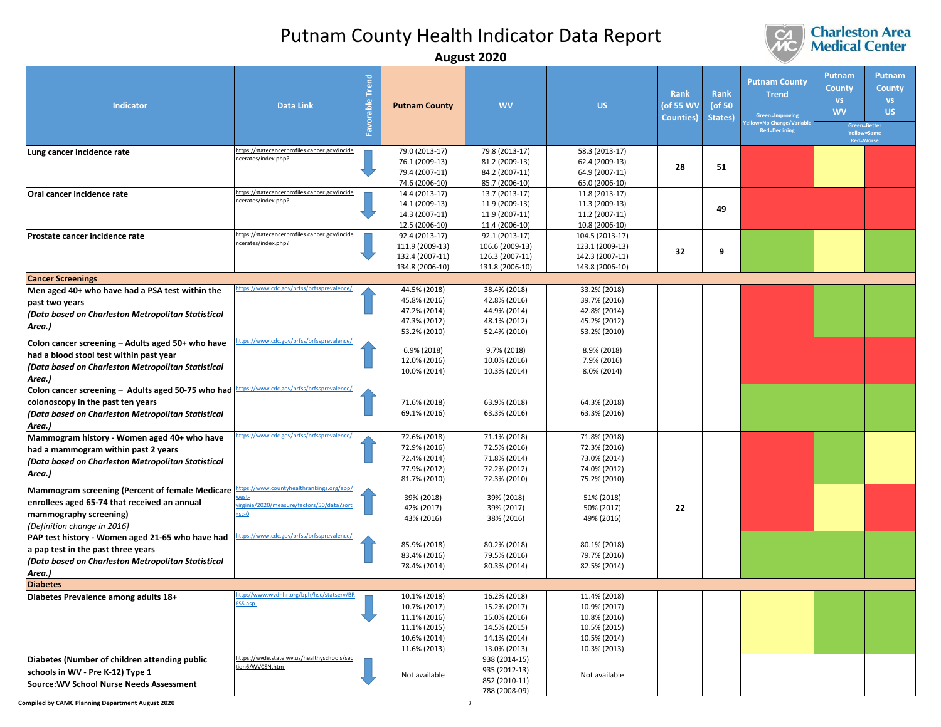

|                                                                                                                                                              |                                                                                                             |                                          |                                                                                              | August Lulu                                                                                  |                                                                                              |                                               |                                  |                                                                                                        |                                                   |                                                                                               |
|--------------------------------------------------------------------------------------------------------------------------------------------------------------|-------------------------------------------------------------------------------------------------------------|------------------------------------------|----------------------------------------------------------------------------------------------|----------------------------------------------------------------------------------------------|----------------------------------------------------------------------------------------------|-----------------------------------------------|----------------------------------|--------------------------------------------------------------------------------------------------------|---------------------------------------------------|-----------------------------------------------------------------------------------------------|
| Indicator                                                                                                                                                    | <b>Data Link</b>                                                                                            | <b>Trend</b><br>orable<br>$\mathbb{R}^2$ | <b>Putnam County</b>                                                                         | <b>WV</b>                                                                                    | <b>US</b>                                                                                    | <b>Rank</b><br>(of 55 WV<br><b>Counties</b> ) | <b>Rank</b><br>(of 50<br>States) | <b>Putnam County</b><br><b>Trend</b><br>Green=Improving<br>w=No Change/Variabl<br><b>Red=Declining</b> | Putnam<br><b>County</b><br><b>VS</b><br><b>WV</b> | Putnam<br><b>County</b><br><b>VS</b><br><b>US</b><br>Green=Better<br>Yellow=Same<br>Red=Worse |
| Lung cancer incidence rate                                                                                                                                   | https://statecancerprofiles.cancer.gov/incide<br>cerates/index.php?                                         |                                          | 79.0 (2013-17)<br>76.1 (2009-13)<br>79.4 (2007-11)<br>74.6 (2006-10)                         | 79.8 (2013-17)<br>81.2 (2009-13)<br>84.2 (2007-11)<br>85.7 (2006-10)                         | 58.3 (2013-17)<br>62.4 (2009-13)<br>64.9 (2007-11)<br>65.0 (2006-10)                         | 28                                            | 51                               |                                                                                                        |                                                   |                                                                                               |
| Oral cancer incidence rate                                                                                                                                   | https://statecancerprofiles.cancer.gov/incide<br>ncerates/index.php?                                        |                                          | 14.4 (2013-17)<br>14.1 (2009-13)<br>14.3 (2007-11)<br>12.5 (2006-10)                         | 13.7 (2013-17)<br>11.9 (2009-13)<br>11.9 (2007-11)<br>11.4 (2006-10)                         | 11.8 (2013-17)<br>11.3 (2009-13)<br>11.2 (2007-11)<br>10.8 (2006-10)                         |                                               | 49                               |                                                                                                        |                                                   |                                                                                               |
| Prostate cancer incidence rate                                                                                                                               | https://statecancerprofiles.cancer.gov/incide<br>ncerates/index.php?                                        |                                          | 92.4 (2013-17)<br>111.9 (2009-13)<br>132.4 (2007-11)<br>134.8 (2006-10)                      | 92.1 (2013-17)<br>106.6 (2009-13)<br>126.3 (2007-11)<br>131.8 (2006-10)                      | 104.5 (2013-17)<br>123.1 (2009-13)<br>142.3 (2007-11)<br>143.8 (2006-10)                     | 32                                            | 9                                |                                                                                                        |                                                   |                                                                                               |
| <b>Cancer Screenings</b>                                                                                                                                     |                                                                                                             |                                          |                                                                                              |                                                                                              |                                                                                              |                                               |                                  |                                                                                                        |                                                   |                                                                                               |
| Men aged 40+ who have had a PSA test within the<br>past two years<br>(Data based on Charleston Metropolitan Statistical<br>Area.)                            | ttps://www.cdc.gov/brfss/brfssprevalence/                                                                   |                                          | 44.5% (2018)<br>45.8% (2016)<br>47.2% (2014)<br>47.3% (2012)                                 | 38.4% (2018)<br>42.8% (2016)<br>44.9% (2014)<br>48.1% (2012)                                 | 33.2% (2018)<br>39.7% (2016)<br>42.8% (2014)<br>45.2% (2012)                                 |                                               |                                  |                                                                                                        |                                                   |                                                                                               |
| Colon cancer screening - Adults aged 50+ who have<br>had a blood stool test within past year<br>(Data based on Charleston Metropolitan Statistical<br>Area.) | ttps://www.cdc.gov/brfss/brfssprevalence/                                                                   |                                          | 53.2% (2010)<br>6.9% (2018)<br>12.0% (2016)<br>10.0% (2014)                                  | 52.4% (2010)<br>9.7% (2018)<br>10.0% (2016)<br>10.3% (2014)                                  | 53.2% (2010)<br>8.9% (2018)<br>7.9% (2016)<br>8.0% (2014)                                    |                                               |                                  |                                                                                                        |                                                   |                                                                                               |
| Colon cancer screening - Adults aged 50-75 who had<br>colonoscopy in the past ten years<br>(Data based on Charleston Metropolitan Statistical<br>Area.)      | ttps://www.cdc.gov/brfss/brfssprevalence/                                                                   |                                          | 71.6% (2018)<br>69.1% (2016)                                                                 | 63.9% (2018)<br>63.3% (2016)                                                                 | 64.3% (2018)<br>63.3% (2016)                                                                 |                                               |                                  |                                                                                                        |                                                   |                                                                                               |
| Mammogram history - Women aged 40+ who have<br>had a mammogram within past 2 years<br>(Data based on Charleston Metropolitan Statistical<br>Area.)           | ttps://www.cdc.gov/brfss/brfssprevalence/                                                                   |                                          | 72.6% (2018)<br>72.9% (2016)<br>72.4% (2014)<br>77.9% (2012)<br>81.7% (2010)                 | 71.1% (2018)<br>72.5% (2016)<br>71.8% (2014)<br>72.2% (2012)<br>72.3% (2010)                 | 71.8% (2018)<br>72.3% (2016)<br>73.0% (2014)<br>74.0% (2012)<br>75.2% (2010)                 |                                               |                                  |                                                                                                        |                                                   |                                                                                               |
| Mammogram screening (Percent of female Medicare<br>enrollees aged 65-74 that received an annual<br>mammography screening)<br>(Definition change in 2016)     | https://www.countyhealthrankings.org/app/<br>vest-<br>rirginia/2020/measure/factors/50/data?sor<br>$=$ sc-O |                                          | 39% (2018)<br>42% (2017)<br>43% (2016)                                                       | 39% (2018)<br>39% (2017)<br>38% (2016)                                                       | 51% (2018)<br>50% (2017)<br>49% (2016)                                                       | 22                                            |                                  |                                                                                                        |                                                   |                                                                                               |
| PAP test history - Women aged 21-65 who have had<br>a pap test in the past three years<br>(Data based on Charleston Metropolitan Statistical<br>Area.)       | ttps://www.cdc.gov/brfss/brfssprevalence/                                                                   |                                          | 85.9% (2018)<br>83.4% (2016)<br>78.4% (2014)                                                 | 80.2% (2018)<br>79.5% (2016)<br>80.3% (2014)                                                 | 80.1% (2018)<br>79.7% (2016)<br>82.5% (2014)                                                 |                                               |                                  |                                                                                                        |                                                   |                                                                                               |
| <b>Diabetes</b>                                                                                                                                              |                                                                                                             |                                          |                                                                                              |                                                                                              |                                                                                              |                                               |                                  |                                                                                                        |                                                   |                                                                                               |
| Diabetes Prevalence among adults 18+                                                                                                                         | ttp://www.wvdhhr.org/bph/hsc/statserv/BR<br>SS.asp                                                          |                                          | 10.1% (2018)<br>10.7% (2017)<br>11.1% (2016)<br>11.1% (2015)<br>10.6% (2014)<br>11.6% (2013) | 16.2% (2018)<br>15.2% (2017)<br>15.0% (2016)<br>14.5% (2015)<br>14.1% (2014)<br>13.0% (2013) | 11.4% (2018)<br>10.9% (2017)<br>10.8% (2016)<br>10.5% (2015)<br>10.5% (2014)<br>10.3% (2013) |                                               |                                  |                                                                                                        |                                                   |                                                                                               |
| Diabetes (Number of children attending public<br>schools in WV - Pre K-12) Type 1<br>Source: WV School Nurse Needs Assessment                                | https://wvde.state.wv.us/healthyschools/sec<br>tion6/WVCSN.htm                                              |                                          | Not available                                                                                | 938 (2014-15)<br>935 (2012-13)<br>852 (2010-11)<br>788 (2008-09)                             | Not available                                                                                |                                               |                                  |                                                                                                        |                                                   |                                                                                               |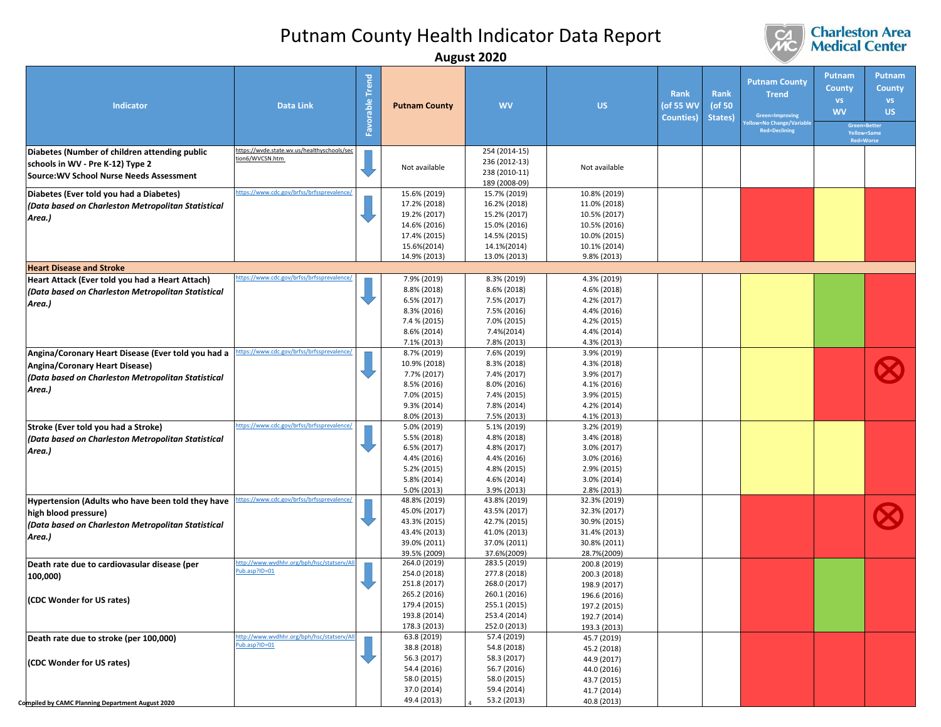

| Putnam<br><b>Trend</b><br><b>Putnam County</b><br><b>County</b><br><b>Rank</b><br><b>Rank</b><br><b>Trend</b><br>Favorable<br><b>VS</b><br><b>US</b><br>Indicator<br><b>Data Link</b><br><b>WV</b><br>(of 55 WV<br>(of 50<br><b>Putnam County</b><br><b>WV</b><br>Green=Improving<br>Counties)<br>States)<br>v=No Change/Variabl<br>Green=Better<br><b>Red=Declining</b><br>Yellow=Same<br><b>Red=Worse</b><br>https://wvde.state.wv.us/healthyschools/sec<br>254 (2014-15)<br>Diabetes (Number of children attending public<br>tion6/WVCSN.htm<br>236 (2012-13)<br>schools in WV - Pre K-12) Type 2<br>Not available<br>Not available<br>238 (2010-11)<br><b>Source: WV School Nurse Needs Assessment</b><br>189 (2008-09)<br>ttps://www.cdc.gov/brfss/brfssprevalence/<br>15.6% (2019)<br>15.7% (2019)<br>10.8% (2019)<br>Diabetes (Ever told you had a Diabetes)<br>16.2% (2018)<br>11.0% (2018)<br>17.2% (2018)<br>(Data based on Charleston Metropolitan Statistical<br>19.2% (2017)<br>15.2% (2017)<br>10.5% (2017)<br>Area.)<br>10.5% (2016)<br>14.6% (2016)<br>15.0% (2016)<br>17.4% (2015)<br>14.5% (2015)<br>10.0% (2015)<br>15.6%(2014)<br>14.1%(2014)<br>10.1% (2014)<br>14.9% (2013)<br>13.0% (2013)<br>9.8% (2013)<br><b>Heart Disease and Stroke</b><br>ttps://www.cdc.gov/brfss/brfssprevalence/<br>8.3% (2019)<br>4.3% (2019)<br>Heart Attack (Ever told you had a Heart Attach)<br>7.9% (2019)<br>8.8% (2018)<br>8.6% (2018)<br>4.6% (2018)<br>(Data based on Charleston Metropolitan Statistical<br>6.5% (2017)<br>7.5% (2017)<br>4.2% (2017)<br>Area.)<br>4.4% (2016)<br>8.3% (2016)<br>7.5% (2016)<br>7.4 % (2015)<br>4.2% (2015)<br>7.0% (2015)<br>8.6% (2014)<br>7.4%(2014)<br>4.4% (2014)<br>7.1% (2013)<br>7.8% (2013)<br>4.3% (2013)<br>ttps://www.cdc.gov/brfss/brfssprevalence/<br>Angina/Coronary Heart Disease (Ever told you had a<br>8.7% (2019)<br>7.6% (2019)<br>3.9% (2019)<br>10.9% (2018)<br>8.3% (2018)<br>4.3% (2018)<br>Angina/Coronary Heart Disease)<br>7.7% (2017)<br>7.4% (2017)<br>3.9% (2017)<br>(Data based on Charleston Metropolitan Statistical<br>8.5% (2016)<br>8.0% (2016)<br>4.1% (2016)<br>Area.)<br>7.0% (2015)<br>7.4% (2015)<br>3.9% (2015)<br>9.3% (2014)<br>7.8% (2014)<br>4.2% (2014)<br>8.0% (2013)<br>4.1% (2013)<br>7.5% (2013)<br>ttps://www.cdc.gov/brfss/brfssprevalence/<br>Stroke (Ever told you had a Stroke)<br>5.0% (2019)<br>5.1% (2019)<br>3.2% (2019)<br>5.5% (2018)<br>4.8% (2018)<br>3.4% (2018)<br>(Data based on Charleston Metropolitan Statistical<br>6.5% (2017)<br>4.8% (2017)<br>3.0% (2017)<br>Area.)<br>4.4% (2016)<br>4.4% (2016)<br>3.0% (2016)<br>5.2% (2015)<br>4.8% (2015)<br>2.9% (2015)<br>5.8% (2014)<br>4.6% (2014)<br>3.0% (2014)<br>5.0% (2013)<br>3.9% (2013)<br>2.8% (2013)<br>ttps://www.cdc.gov/brfss/brfssprevalence/<br>48.8% (2019)<br>32.3% (2019)<br>Hypertension (Adults who have been told they have<br>43.8% (2019)<br>45.0% (2017)<br>43.5% (2017)<br>32.3% (2017)<br>high blood pressure)<br>43.3% (2015)<br>42.7% (2015)<br>30.9% (2015)<br>(Data based on Charleston Metropolitan Statistical<br>43.4% (2013)<br>41.0% (2013)<br>31.4% (2013)<br>Area.)<br>39.0% (2011)<br>37.0% (2011)<br>30.8% (2011)<br>37.6%(2009)<br>28.7%(2009)<br>39.5% (2009)<br>264.0 (2019)<br>ttp://www.wvdhhr.org/bph/hsc/statserv/Al<br>283.5 (2019)<br>200.8 (2019)<br>Death rate due to cardiovasular disease (per<br>ub.asp?ID=01<br>254.0 (2018)<br>277.8 (2018)<br>200.3 (2018)<br>100,000)<br>251.8 (2017)<br>268.0 (2017)<br>198.9 (2017)<br>265.2 (2016)<br>260.1 (2016)<br>196.6 (2016)<br>(CDC Wonder for US rates)<br>179.4 (2015)<br>255.1 (2015)<br>197.2 (2015)<br>193.8 (2014)<br>253.4 (2014)<br>192.7 (2014)<br>178.3 (2013)<br>252.0 (2013)<br>193.3 (2013)<br>http://www.wydhhr.org/bph/hsc/statsery/All<br>63.8 (2019)<br>57.4 (2019)<br>45.7 (2019)<br>Death rate due to stroke (per 100,000)<br>ub.asp?ID=01<br>38.8 (2018)<br>54.8 (2018)<br>45.2 (2018)<br>56.3 (2017)<br>58.3 (2017)<br>44.9 (2017)<br>(CDC Wonder for US rates)<br>54.4 (2016)<br>56.7 (2016) |  |  | August ZUZU |             |  |  |                                |
|---------------------------------------------------------------------------------------------------------------------------------------------------------------------------------------------------------------------------------------------------------------------------------------------------------------------------------------------------------------------------------------------------------------------------------------------------------------------------------------------------------------------------------------------------------------------------------------------------------------------------------------------------------------------------------------------------------------------------------------------------------------------------------------------------------------------------------------------------------------------------------------------------------------------------------------------------------------------------------------------------------------------------------------------------------------------------------------------------------------------------------------------------------------------------------------------------------------------------------------------------------------------------------------------------------------------------------------------------------------------------------------------------------------------------------------------------------------------------------------------------------------------------------------------------------------------------------------------------------------------------------------------------------------------------------------------------------------------------------------------------------------------------------------------------------------------------------------------------------------------------------------------------------------------------------------------------------------------------------------------------------------------------------------------------------------------------------------------------------------------------------------------------------------------------------------------------------------------------------------------------------------------------------------------------------------------------------------------------------------------------------------------------------------------------------------------------------------------------------------------------------------------------------------------------------------------------------------------------------------------------------------------------------------------------------------------------------------------------------------------------------------------------------------------------------------------------------------------------------------------------------------------------------------------------------------------------------------------------------------------------------------------------------------------------------------------------------------------------------------------------------------------------------------------------------------------------------------------------------------------------------------------------------------------------------------------------------------------------------------------------------------------------------------------------------------------------------------------------------------------------------------------------------------------------------------------------------------------------------------------------------------------------------------------------------------------------------------------------------------------------------------------------------------------------------------------------------------------------------------------------------------------------------------------------------------------------------------------------------------------------------------------------------------------------------------------------------------|--|--|-------------|-------------|--|--|--------------------------------|
|                                                                                                                                                                                                                                                                                                                                                                                                                                                                                                                                                                                                                                                                                                                                                                                                                                                                                                                                                                                                                                                                                                                                                                                                                                                                                                                                                                                                                                                                                                                                                                                                                                                                                                                                                                                                                                                                                                                                                                                                                                                                                                                                                                                                                                                                                                                                                                                                                                                                                                                                                                                                                                                                                                                                                                                                                                                                                                                                                                                                                                                                                                                                                                                                                                                                                                                                                                                                                                                                                                                                                                                                                                                                                                                                                                                                                                                                                                                                                                                                                                                                                       |  |  |             |             |  |  | Putnam<br>County<br>VS.<br>US. |
|                                                                                                                                                                                                                                                                                                                                                                                                                                                                                                                                                                                                                                                                                                                                                                                                                                                                                                                                                                                                                                                                                                                                                                                                                                                                                                                                                                                                                                                                                                                                                                                                                                                                                                                                                                                                                                                                                                                                                                                                                                                                                                                                                                                                                                                                                                                                                                                                                                                                                                                                                                                                                                                                                                                                                                                                                                                                                                                                                                                                                                                                                                                                                                                                                                                                                                                                                                                                                                                                                                                                                                                                                                                                                                                                                                                                                                                                                                                                                                                                                                                                                       |  |  |             |             |  |  |                                |
|                                                                                                                                                                                                                                                                                                                                                                                                                                                                                                                                                                                                                                                                                                                                                                                                                                                                                                                                                                                                                                                                                                                                                                                                                                                                                                                                                                                                                                                                                                                                                                                                                                                                                                                                                                                                                                                                                                                                                                                                                                                                                                                                                                                                                                                                                                                                                                                                                                                                                                                                                                                                                                                                                                                                                                                                                                                                                                                                                                                                                                                                                                                                                                                                                                                                                                                                                                                                                                                                                                                                                                                                                                                                                                                                                                                                                                                                                                                                                                                                                                                                                       |  |  |             |             |  |  |                                |
|                                                                                                                                                                                                                                                                                                                                                                                                                                                                                                                                                                                                                                                                                                                                                                                                                                                                                                                                                                                                                                                                                                                                                                                                                                                                                                                                                                                                                                                                                                                                                                                                                                                                                                                                                                                                                                                                                                                                                                                                                                                                                                                                                                                                                                                                                                                                                                                                                                                                                                                                                                                                                                                                                                                                                                                                                                                                                                                                                                                                                                                                                                                                                                                                                                                                                                                                                                                                                                                                                                                                                                                                                                                                                                                                                                                                                                                                                                                                                                                                                                                                                       |  |  |             |             |  |  |                                |
|                                                                                                                                                                                                                                                                                                                                                                                                                                                                                                                                                                                                                                                                                                                                                                                                                                                                                                                                                                                                                                                                                                                                                                                                                                                                                                                                                                                                                                                                                                                                                                                                                                                                                                                                                                                                                                                                                                                                                                                                                                                                                                                                                                                                                                                                                                                                                                                                                                                                                                                                                                                                                                                                                                                                                                                                                                                                                                                                                                                                                                                                                                                                                                                                                                                                                                                                                                                                                                                                                                                                                                                                                                                                                                                                                                                                                                                                                                                                                                                                                                                                                       |  |  |             |             |  |  |                                |
|                                                                                                                                                                                                                                                                                                                                                                                                                                                                                                                                                                                                                                                                                                                                                                                                                                                                                                                                                                                                                                                                                                                                                                                                                                                                                                                                                                                                                                                                                                                                                                                                                                                                                                                                                                                                                                                                                                                                                                                                                                                                                                                                                                                                                                                                                                                                                                                                                                                                                                                                                                                                                                                                                                                                                                                                                                                                                                                                                                                                                                                                                                                                                                                                                                                                                                                                                                                                                                                                                                                                                                                                                                                                                                                                                                                                                                                                                                                                                                                                                                                                                       |  |  |             |             |  |  |                                |
|                                                                                                                                                                                                                                                                                                                                                                                                                                                                                                                                                                                                                                                                                                                                                                                                                                                                                                                                                                                                                                                                                                                                                                                                                                                                                                                                                                                                                                                                                                                                                                                                                                                                                                                                                                                                                                                                                                                                                                                                                                                                                                                                                                                                                                                                                                                                                                                                                                                                                                                                                                                                                                                                                                                                                                                                                                                                                                                                                                                                                                                                                                                                                                                                                                                                                                                                                                                                                                                                                                                                                                                                                                                                                                                                                                                                                                                                                                                                                                                                                                                                                       |  |  |             |             |  |  |                                |
|                                                                                                                                                                                                                                                                                                                                                                                                                                                                                                                                                                                                                                                                                                                                                                                                                                                                                                                                                                                                                                                                                                                                                                                                                                                                                                                                                                                                                                                                                                                                                                                                                                                                                                                                                                                                                                                                                                                                                                                                                                                                                                                                                                                                                                                                                                                                                                                                                                                                                                                                                                                                                                                                                                                                                                                                                                                                                                                                                                                                                                                                                                                                                                                                                                                                                                                                                                                                                                                                                                                                                                                                                                                                                                                                                                                                                                                                                                                                                                                                                                                                                       |  |  |             |             |  |  |                                |
|                                                                                                                                                                                                                                                                                                                                                                                                                                                                                                                                                                                                                                                                                                                                                                                                                                                                                                                                                                                                                                                                                                                                                                                                                                                                                                                                                                                                                                                                                                                                                                                                                                                                                                                                                                                                                                                                                                                                                                                                                                                                                                                                                                                                                                                                                                                                                                                                                                                                                                                                                                                                                                                                                                                                                                                                                                                                                                                                                                                                                                                                                                                                                                                                                                                                                                                                                                                                                                                                                                                                                                                                                                                                                                                                                                                                                                                                                                                                                                                                                                                                                       |  |  |             |             |  |  |                                |
| 58.0 (2015)<br>58.0 (2015)<br>43.7 (2015)<br>37.0 (2014)<br>59.4 (2014)<br>41.7 (2014)<br>49.4 (2013)<br>53.2 (2013)<br>40.8 (2013)<br>Compiled by CAMC Planning Department August 2020                                                                                                                                                                                                                                                                                                                                                                                                                                                                                                                                                                                                                                                                                                                                                                                                                                                                                                                                                                                                                                                                                                                                                                                                                                                                                                                                                                                                                                                                                                                                                                                                                                                                                                                                                                                                                                                                                                                                                                                                                                                                                                                                                                                                                                                                                                                                                                                                                                                                                                                                                                                                                                                                                                                                                                                                                                                                                                                                                                                                                                                                                                                                                                                                                                                                                                                                                                                                                                                                                                                                                                                                                                                                                                                                                                                                                                                                                               |  |  |             | 44.0 (2016) |  |  |                                |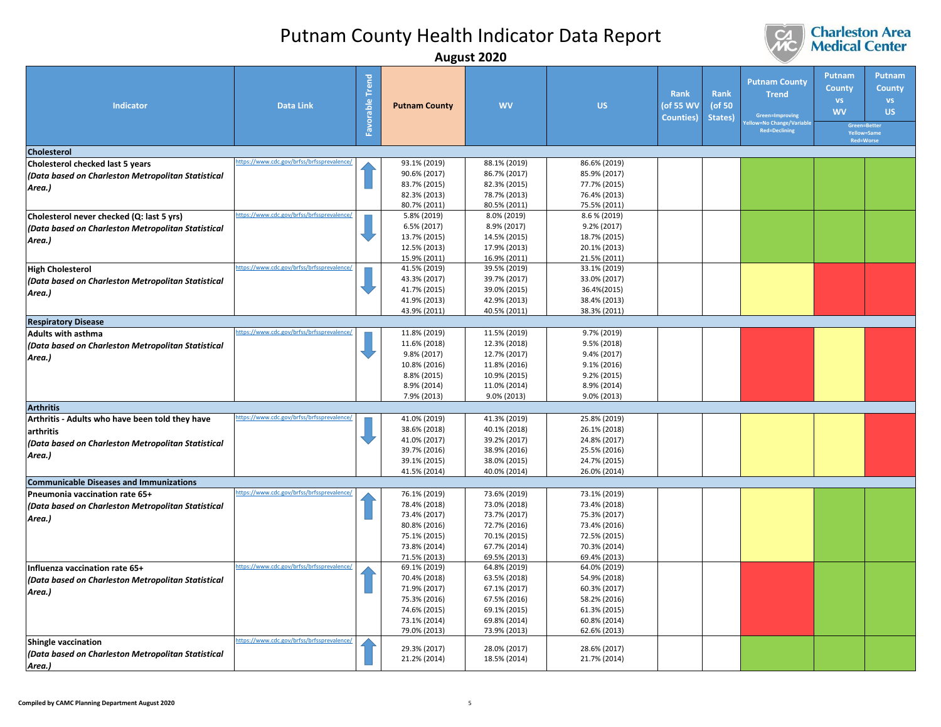

|                                                    |                                            |                               |                      | August LULU  |              |                                        |                           |                                                                                                         |                                                                                               |                                                          |
|----------------------------------------------------|--------------------------------------------|-------------------------------|----------------------|--------------|--------------|----------------------------------------|---------------------------|---------------------------------------------------------------------------------------------------------|-----------------------------------------------------------------------------------------------|----------------------------------------------------------|
| <b>Indicator</b>                                   | <b>Data Link</b>                           | <b>Trend</b><br>able<br>Favor | <b>Putnam County</b> | <b>WV</b>    | <b>US</b>    | Rank<br>(of 55 WV<br><b>Counties</b> ) | Rank<br>(of 50<br>States) | <b>Putnam County</b><br><b>Trend</b><br>Green=Improving<br>w=No Change/Variable<br><b>Red=Declining</b> | Putnam<br><b>County</b><br><b>VS</b><br><b>WV</b><br>Green=Better<br>Yellow=Same<br>Red=Worse | <b>Putnam</b><br><b>County</b><br><b>VS</b><br><b>US</b> |
| <b>Cholesterol</b>                                 |                                            |                               |                      |              |              |                                        |                           |                                                                                                         |                                                                                               |                                                          |
| Cholesterol checked last 5 years                   | https://www.cdc.gov/brfss/brfssprevalence/ |                               | 93.1% (2019)         | 88.1% (2019) | 86.6% (2019) |                                        |                           |                                                                                                         |                                                                                               |                                                          |
| (Data based on Charleston Metropolitan Statistical |                                            |                               | 90.6% (2017)         | 86.7% (2017) | 85.9% (2017) |                                        |                           |                                                                                                         |                                                                                               |                                                          |
|                                                    |                                            |                               | 83.7% (2015)         | 82.3% (2015) | 77.7% (2015) |                                        |                           |                                                                                                         |                                                                                               |                                                          |
| Area.)                                             |                                            |                               | 82.3% (2013)         | 78.7% (2013) | 76.4% (2013) |                                        |                           |                                                                                                         |                                                                                               |                                                          |
|                                                    |                                            |                               | 80.7% (2011)         | 80.5% (2011) | 75.5% (2011) |                                        |                           |                                                                                                         |                                                                                               |                                                          |
| Cholesterol never checked (Q: last 5 yrs)          | ttps://www.cdc.gov/brfss/brfssprevalence,  |                               | 5.8% (2019)          | 8.0% (2019)  | 8.6 % (2019) |                                        |                           |                                                                                                         |                                                                                               |                                                          |
| (Data based on Charleston Metropolitan Statistical |                                            |                               | 6.5% (2017)          | 8.9% (2017)  | 9.2% (2017)  |                                        |                           |                                                                                                         |                                                                                               |                                                          |
|                                                    |                                            |                               | 13.7% (2015)         | 14.5% (2015) | 18.7% (2015) |                                        |                           |                                                                                                         |                                                                                               |                                                          |
| Area.)                                             |                                            |                               | 12.5% (2013)         | 17.9% (2013) | 20.1% (2013) |                                        |                           |                                                                                                         |                                                                                               |                                                          |
|                                                    |                                            |                               | 15.9% (2011)         | 16.9% (2011) | 21.5% (2011) |                                        |                           |                                                                                                         |                                                                                               |                                                          |
| <b>High Cholesterol</b>                            | ttps://www.cdc.gov/brfss/brfssprevalence/  |                               | 41.5% (2019)         | 39.5% (2019) | 33.1% (2019) |                                        |                           |                                                                                                         |                                                                                               |                                                          |
| (Data based on Charleston Metropolitan Statistical |                                            |                               | 43.3% (2017)         | 39.7% (2017) | 33.0% (2017) |                                        |                           |                                                                                                         |                                                                                               |                                                          |
| Area.)                                             |                                            |                               | 41.7% (2015)         | 39.0% (2015) | 36.4%(2015)  |                                        |                           |                                                                                                         |                                                                                               |                                                          |
|                                                    |                                            |                               | 41.9% (2013)         | 42.9% (2013) | 38.4% (2013) |                                        |                           |                                                                                                         |                                                                                               |                                                          |
|                                                    |                                            |                               | 43.9% (2011)         | 40.5% (2011) | 38.3% (2011) |                                        |                           |                                                                                                         |                                                                                               |                                                          |
| <b>Respiratory Disease</b>                         |                                            |                               |                      |              |              |                                        |                           |                                                                                                         |                                                                                               |                                                          |
| <b>Adults with asthma</b>                          | ttps://www.cdc.gov/brfss/brfssprevalence   |                               | 11.8% (2019)         | 11.5% (2019) | 9.7% (2019)  |                                        |                           |                                                                                                         |                                                                                               |                                                          |
| (Data based on Charleston Metropolitan Statistical |                                            |                               | 11.6% (2018)         | 12.3% (2018) | 9.5% (2018)  |                                        |                           |                                                                                                         |                                                                                               |                                                          |
| Area.)                                             |                                            |                               | 9.8% (2017)          | 12.7% (2017) | 9.4% (2017)  |                                        |                           |                                                                                                         |                                                                                               |                                                          |
|                                                    |                                            |                               | 10.8% (2016)         | 11.8% (2016) | 9.1% (2016)  |                                        |                           |                                                                                                         |                                                                                               |                                                          |
|                                                    |                                            |                               | 8.8% (2015)          | 10.9% (2015) | 9.2% (2015)  |                                        |                           |                                                                                                         |                                                                                               |                                                          |
|                                                    |                                            |                               | 8.9% (2014)          | 11.0% (2014) | 8.9% (2014)  |                                        |                           |                                                                                                         |                                                                                               |                                                          |
|                                                    |                                            |                               | 7.9% (2013)          | 9.0% (2013)  | 9.0% (2013)  |                                        |                           |                                                                                                         |                                                                                               |                                                          |
| <b>Arthritis</b>                                   |                                            |                               |                      |              |              |                                        |                           |                                                                                                         |                                                                                               |                                                          |
| Arthritis - Adults who have been told they have    | ttps://www.cdc.gov/brfss/brfssprevalence/  |                               | 41.0% (2019)         | 41.3% (2019) | 25.8% (2019) |                                        |                           |                                                                                                         |                                                                                               |                                                          |
| arthritis                                          |                                            |                               | 38.6% (2018)         | 40.1% (2018) | 26.1% (2018) |                                        |                           |                                                                                                         |                                                                                               |                                                          |
| (Data based on Charleston Metropolitan Statistical |                                            |                               | 41.0% (2017)         | 39.2% (2017) | 24.8% (2017) |                                        |                           |                                                                                                         |                                                                                               |                                                          |
| Area.)                                             |                                            |                               | 39.7% (2016)         | 38.9% (2016) | 25.5% (2016) |                                        |                           |                                                                                                         |                                                                                               |                                                          |
|                                                    |                                            |                               | 39.1% (2015)         | 38.0% (2015) | 24.7% (2015) |                                        |                           |                                                                                                         |                                                                                               |                                                          |
|                                                    |                                            |                               | 41.5% (2014)         | 40.0% (2014) | 26.0% (2014) |                                        |                           |                                                                                                         |                                                                                               |                                                          |
| <b>Communicable Diseases and Immunizations</b>     |                                            |                               |                      |              |              |                                        |                           |                                                                                                         |                                                                                               |                                                          |
| Pneumonia vaccination rate 65+                     | ttps://www.cdc.gov/brfss/brfssprevalence/  |                               | 76.1% (2019)         | 73.6% (2019) | 73.1% (2019) |                                        |                           |                                                                                                         |                                                                                               |                                                          |
| (Data based on Charleston Metropolitan Statistical |                                            |                               | 78.4% (2018)         | 73.0% (2018) | 73.4% (2018) |                                        |                           |                                                                                                         |                                                                                               |                                                          |
| Area.)                                             |                                            |                               | 73.4% (2017)         | 73.7% (2017) | 75.3% (2017) |                                        |                           |                                                                                                         |                                                                                               |                                                          |
|                                                    |                                            |                               | 80.8% (2016)         | 72.7% (2016) | 73.4% (2016) |                                        |                           |                                                                                                         |                                                                                               |                                                          |
|                                                    |                                            |                               | 75.1% (2015)         | 70.1% (2015) | 72.5% (2015) |                                        |                           |                                                                                                         |                                                                                               |                                                          |
|                                                    |                                            |                               | 73.8% (2014)         | 67.7% (2014) | 70.3% (2014) |                                        |                           |                                                                                                         |                                                                                               |                                                          |
|                                                    |                                            |                               | 71.5% (2013)         | 69.5% (2013) | 69.4% (2013) |                                        |                           |                                                                                                         |                                                                                               |                                                          |
| Influenza vaccination rate 65+                     | https://www.cdc.gov/brfss/brfssprevalence/ |                               | 69.1% (2019)         | 64.8% (2019) | 64.0% (2019) |                                        |                           |                                                                                                         |                                                                                               |                                                          |
| (Data based on Charleston Metropolitan Statistical |                                            |                               | 70.4% (2018)         | 63.5% (2018) | 54.9% (2018) |                                        |                           |                                                                                                         |                                                                                               |                                                          |
| Area.)                                             |                                            |                               | 71.9% (2017)         | 67.1% (2017) | 60.3% (2017) |                                        |                           |                                                                                                         |                                                                                               |                                                          |
|                                                    |                                            |                               | 75.3% (2016)         | 67.5% (2016) | 58.2% (2016) |                                        |                           |                                                                                                         |                                                                                               |                                                          |
|                                                    |                                            |                               | 74.6% (2015)         | 69.1% (2015) | 61.3% (2015) |                                        |                           |                                                                                                         |                                                                                               |                                                          |
|                                                    |                                            |                               | 73.1% (2014)         | 69.8% (2014) | 60.8% (2014) |                                        |                           |                                                                                                         |                                                                                               |                                                          |
|                                                    | https://www.cdc.gov/brfss/brfssprevalence  |                               | 79.0% (2013)         | 73.9% (2013) | 62.6% (2013) |                                        |                           |                                                                                                         |                                                                                               |                                                          |
| <b>Shingle vaccination</b>                         |                                            |                               | 29.3% (2017)         | 28.0% (2017) | 28.6% (2017) |                                        |                           |                                                                                                         |                                                                                               |                                                          |
| (Data based on Charleston Metropolitan Statistical |                                            |                               | 21.2% (2014)         | 18.5% (2014) | 21.7% (2014) |                                        |                           |                                                                                                         |                                                                                               |                                                          |
| Area.)                                             |                                            |                               |                      |              |              |                                        |                           |                                                                                                         |                                                                                               |                                                          |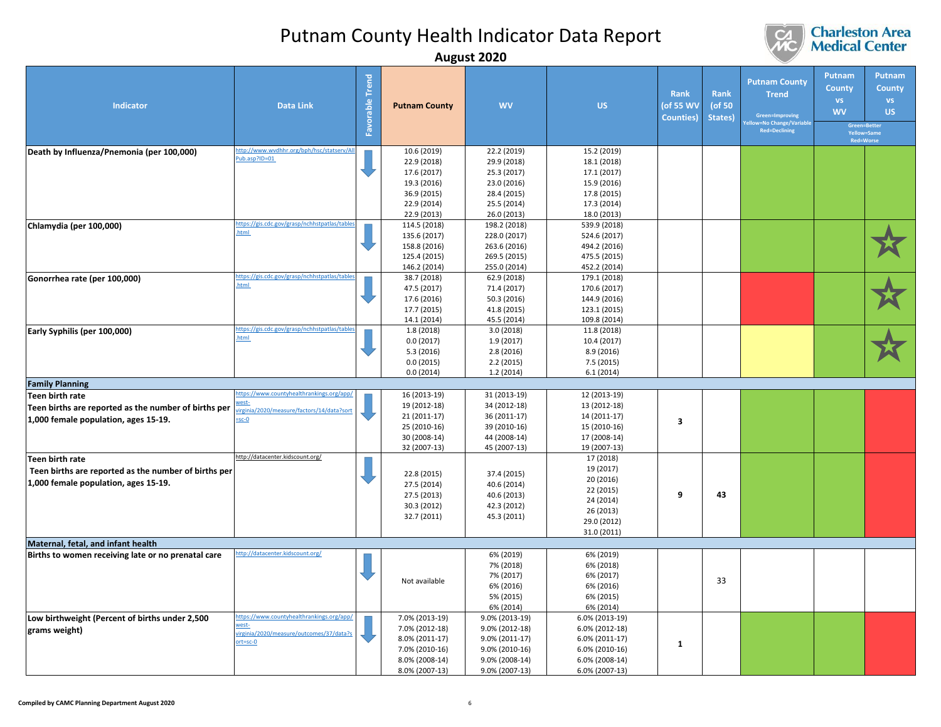

|                                                                                                                        |                                                                                                                |                    |                                                                                                          | <b>August ZUZU</b>                                                                                       |                                                                                                          |                                               |                                  |                                                                                                         |                                                                                  |                                                          |
|------------------------------------------------------------------------------------------------------------------------|----------------------------------------------------------------------------------------------------------------|--------------------|----------------------------------------------------------------------------------------------------------|----------------------------------------------------------------------------------------------------------|----------------------------------------------------------------------------------------------------------|-----------------------------------------------|----------------------------------|---------------------------------------------------------------------------------------------------------|----------------------------------------------------------------------------------|----------------------------------------------------------|
| <b>Indicator</b>                                                                                                       | <b>Data Link</b>                                                                                               | Trend<br>Favorable | <b>Putnam County</b>                                                                                     | <b>WV</b>                                                                                                | <b>US</b>                                                                                                | <b>Rank</b><br>(of 55 WV<br><b>Counties</b> ) | <b>Rank</b><br>(of 50<br>States) | <b>Putnam County</b><br><b>Trend</b><br>Green=Improving<br>w=No Change/Variable<br><b>Red=Declining</b> | Putnam<br>County<br>VS.<br><b>WV</b><br>Green=Better<br>Yellow=Same<br>Red=Worse | <b>Putnam</b><br><b>County</b><br><b>VS</b><br><b>US</b> |
| Death by Influenza/Pnemonia (per 100,000)                                                                              | http://www.wvdhhr.org/bph/hsc/statserv/All<br>ub.asp?ID=01                                                     |                    | 10.6 (2019)<br>22.9 (2018)<br>17.6 (2017)<br>19.3 (2016)<br>36.9 (2015)<br>22.9 (2014)<br>22.9 (2013)    | 22.2 (2019)<br>29.9 (2018)<br>25.3 (2017)<br>23.0 (2016)<br>28.4 (2015)<br>25.5 (2014)<br>26.0 (2013)    | 15.2 (2019)<br>18.1 (2018)<br>17.1 (2017)<br>15.9 (2016)<br>17.8 (2015)<br>17.3 (2014)<br>18.0 (2013)    |                                               |                                  |                                                                                                         |                                                                                  |                                                          |
| Chlamydia (per 100,000)                                                                                                | https://gis.cdc.gov/grasp/nchhstpatlas/table<br><b>tml</b>                                                     |                    | 114.5 (2018)<br>135.6 (2017)<br>158.8 (2016)<br>125.4 (2015)<br>146.2 (2014)                             | 198.2 (2018)<br>228.0 (2017)<br>263.6 (2016)<br>269.5 (2015)<br>255.0 (2014)                             | 539.9 (2018)<br>524.6 (2017)<br>494.2 (2016)<br>475.5 (2015)<br>452.2 (2014)                             |                                               |                                  |                                                                                                         |                                                                                  |                                                          |
| Gonorrhea rate (per 100,000)                                                                                           | https://gis.cdc.gov/grasp/nchhstpatlas/table<br>html                                                           |                    | 38.7 (2018)<br>47.5 (2017)<br>17.6 (2016)<br>17.7 (2015)<br>14.1 (2014)                                  | 62.9 (2018)<br>71.4 (2017)<br>50.3 (2016)<br>41.8 (2015)<br>45.5 (2014)                                  | 179.1 (2018)<br>170.6 (2017)<br>144.9 (2016)<br>123.1 (2015)<br>109.8 (2014)                             |                                               |                                  |                                                                                                         |                                                                                  |                                                          |
| Early Syphilis (per 100,000)                                                                                           | https://gis.cdc.gov/grasp/nchhstpatlas/tabl<br><b>tml</b>                                                      |                    | 1.8 (2018)<br>0.0(2017)<br>5.3(2016)<br>0.0(2015)<br>0.0(2014)                                           | 3.0(2018)<br>1.9 (2017)<br>2.8(2016)<br>2.2(2015)<br>1.2(2014)                                           | 11.8 (2018)<br>10.4 (2017)<br>8.9 (2016)<br>7.5 (2015)<br>6.1(2014)                                      |                                               |                                  |                                                                                                         |                                                                                  |                                                          |
| <b>Family Planning</b>                                                                                                 |                                                                                                                |                    |                                                                                                          |                                                                                                          |                                                                                                          |                                               |                                  |                                                                                                         |                                                                                  |                                                          |
| <b>Teen birth rate</b><br>Teen births are reported as the number of births per<br>1,000 female population, ages 15-19. | https://www.countyhealthrankings.org/app/<br>irginia/2020/measure/factors/14/data?sor<br>$-5c-0$               |                    | 16 (2013-19)<br>19 (2012-18)<br>21 (2011-17)<br>25 (2010-16)<br>30 (2008-14)<br>32 (2007-13)             | 31 (2013-19)<br>34 (2012-18)<br>36 (2011-17)<br>39 (2010-16)<br>44 (2008-14)<br>45 (2007-13)             | 12 (2013-19)<br>13 (2012-18)<br>14 (2011-17)<br>15 (2010-16)<br>17 (2008-14)<br>19 (2007-13)             | 3                                             |                                  |                                                                                                         |                                                                                  |                                                          |
| Teen birth rate<br>Teen births are reported as the number of births per<br>1,000 female population, ages 15-19.        | http://datacenter.kidscount.org/                                                                               |                    | 22.8 (2015)<br>27.5 (2014)<br>27.5 (2013)<br>30.3 (2012)<br>32.7 (2011)                                  | 37.4 (2015)<br>40.6 (2014)<br>40.6 (2013)<br>42.3 (2012)<br>45.3 (2011)                                  | 17 (2018)<br>19 (2017)<br>20 (2016)<br>22 (2015)<br>24 (2014)<br>26 (2013)<br>29.0 (2012)<br>31.0 (2011) | 9                                             | 43                               |                                                                                                         |                                                                                  |                                                          |
|                                                                                                                        |                                                                                                                |                    |                                                                                                          |                                                                                                          |                                                                                                          |                                               |                                  |                                                                                                         |                                                                                  |                                                          |
| Maternal, fetal, and infant health<br>Births to women receiving late or no prenatal care                               | ttp://datacenter.kidscount.org/                                                                                |                    | Not available                                                                                            | 6% (2019)<br>7% (2018)<br>7% (2017)<br>6% (2016)<br>5% (2015)<br>6% (2014)                               | 6% (2019)<br>6% (2018)<br>6% (2017)<br>6% (2016)<br>6% (2015)<br>6% (2014)                               |                                               | 33                               |                                                                                                         |                                                                                  |                                                          |
| Low birthweight (Percent of births under 2,500<br>grams weight)                                                        | https://www.countyhealthrankings.org/app<br>rest-<br>rirginia/2020/measure/outcomes/37/data?<br>$ort = sc - 0$ |                    | 7.0% (2013-19)<br>7.0% (2012-18)<br>8.0% (2011-17)<br>7.0% (2010-16)<br>8.0% (2008-14)<br>8.0% (2007-13) | 9.0% (2013-19)<br>9.0% (2012-18)<br>9.0% (2011-17)<br>9.0% (2010-16)<br>9.0% (2008-14)<br>9.0% (2007-13) | 6.0% (2013-19)<br>6.0% (2012-18)<br>6.0% (2011-17)<br>6.0% (2010-16)<br>6.0% (2008-14)<br>6.0% (2007-13) | 1                                             |                                  |                                                                                                         |                                                                                  |                                                          |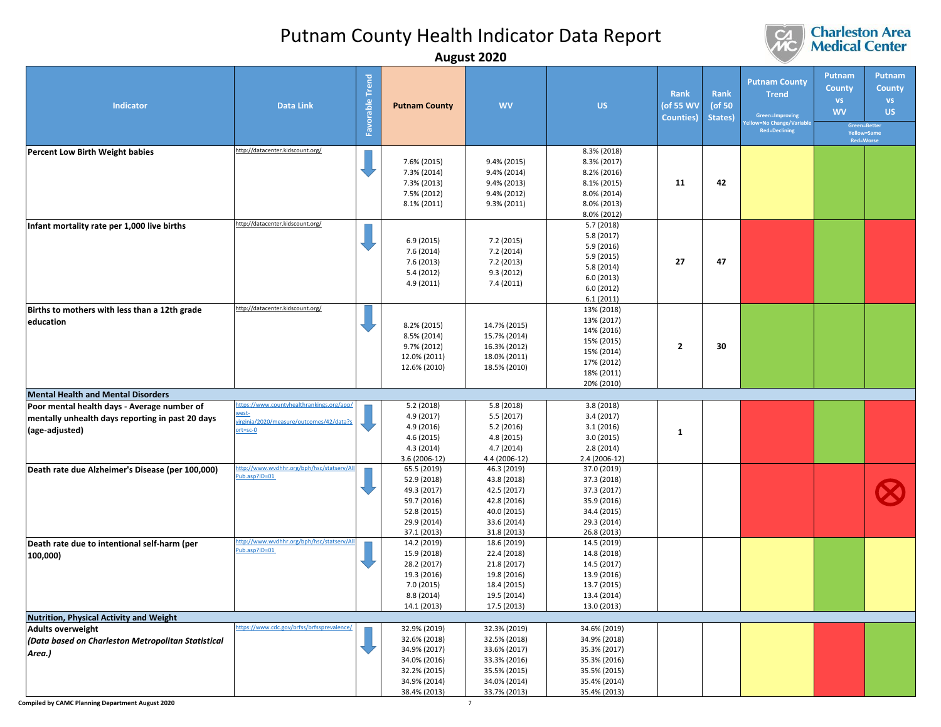

|                                                                                                                                                     |                                                                                                                |                 | ັ                                                                                                            |                                                                                                                                |                                                                                                              |                                               |                           |                                                                                                            |                                                          |                                                                                   |
|-----------------------------------------------------------------------------------------------------------------------------------------------------|----------------------------------------------------------------------------------------------------------------|-----------------|--------------------------------------------------------------------------------------------------------------|--------------------------------------------------------------------------------------------------------------------------------|--------------------------------------------------------------------------------------------------------------|-----------------------------------------------|---------------------------|------------------------------------------------------------------------------------------------------------|----------------------------------------------------------|-----------------------------------------------------------------------------------|
| <b>Indicator</b>                                                                                                                                    | <b>Data Link</b>                                                                                               | Favorable Trend | <b>Putnam County</b>                                                                                         | <b>WV</b>                                                                                                                      | <b>US</b>                                                                                                    | <b>Rank</b><br>(of 55 WV<br><b>Counties</b> ) | Rank<br>(of 50<br>States) | <b>Putnam County</b><br><b>Trend</b><br>Green=Improving<br><b>Ilow=No Change/Variable</b><br>Red=Declining | Putnam<br><b>County</b><br>VS.<br><b>WV</b><br>Red=Worse | <b>Putnam</b><br><b>County</b><br><b>VS</b><br>US.<br>Green=Better<br>Yellow=Same |
| Percent Low Birth Weight babies                                                                                                                     | http://datacenter.kidscount.org/                                                                               |                 | 7.6% (2015)<br>7.3% (2014)<br>7.3% (2013)<br>7.5% (2012)<br>8.1% (2011)                                      | 9.4% (2015)<br>9.4% (2014)<br>9.4% (2013)<br>9.4% (2012)<br>$9.3\% (2011)$                                                     | 8.3% (2018)<br>8.3% (2017)<br>8.2% (2016)<br>8.1% (2015)<br>8.0% (2014)<br>8.0% (2013)<br>8.0% (2012)        | 11                                            | 42                        |                                                                                                            |                                                          |                                                                                   |
| Infant mortality rate per 1,000 live births                                                                                                         | http://datacenter.kidscount.org/                                                                               |                 | 6.9(2015)<br>7.6 (2014)<br>7.6 (2013)<br>5.4 (2012)<br>4.9 (2011)                                            | 7.2 (2015)<br>7.2 (2014)<br>7.2 (2013)<br>9.3(2012)<br>7.4 (2011)                                                              | 5.7(2018)<br>5.8 (2017)<br>5.9 (2016)<br>5.9 (2015)<br>5.8 (2014)<br>6.0(2013)<br>6.0(2012)<br>6.1(2011)     | 27                                            | 47                        |                                                                                                            |                                                          |                                                                                   |
| Births to mothers with less than a 12th grade<br>education                                                                                          | http://datacenter.kidscount.org/                                                                               |                 | 8.2% (2015)<br>8.5% (2014)<br>9.7% (2012)<br>12.0% (2011)<br>12.6% (2010)                                    | 14.7% (2015)<br>15.7% (2014)<br>16.3% (2012)<br>18.0% (2011)<br>18.5% (2010)                                                   | 13% (2018)<br>13% (2017)<br>14% (2016)<br>15% (2015)<br>15% (2014)<br>17% (2012)<br>18% (2011)<br>20% (2010) | $\mathbf{2}$                                  | 30                        |                                                                                                            |                                                          |                                                                                   |
| <b>Mental Health and Mental Disorders</b>                                                                                                           |                                                                                                                |                 |                                                                                                              |                                                                                                                                |                                                                                                              |                                               |                           |                                                                                                            |                                                          |                                                                                   |
| Poor mental health days - Average number of<br>mentally unhealth days reporting in past 20 days<br>(age-adjusted)                                   | ttps://www.countyhealthrankings.org/app/<br>vest-<br>irginia/2020/measure/outcomes/42/data?s<br>$ort = sc - 0$ |                 | 5.2 (2018)<br>4.9 (2017)<br>4.9 (2016)<br>4.6 (2015)<br>4.3 (2014)<br>3.6 (2006-12)                          | 5.8(2018)<br>5.5 (2017)<br>5.2(2016)<br>4.8 (2015)<br>4.7 (2014)<br>4.4 (2006-12)                                              | 3.8(2018)<br>3.4(2017)<br>3.1(2016)<br>3.0(2015)<br>2.8(2014)<br>2.4 (2006-12)                               | 1                                             |                           |                                                                                                            |                                                          |                                                                                   |
| Death rate due Alzheimer's Disease (per 100,000)                                                                                                    | ttp://www.wvdhhr.org/bph/hsc/statserv/Al<br>Pub.asp?ID=01                                                      |                 | 65.5 (2019)<br>52.9 (2018)<br>49.3 (2017)<br>59.7 (2016)<br>52.8 (2015)<br>29.9 (2014)<br>37.1 (2013)        | 46.3 (2019)<br>43.8 (2018)<br>42.5 (2017)<br>42.8 (2016)<br>40.0 (2015)<br>33.6 (2014)<br>31.8 (2013)                          | 37.0 (2019)<br>37.3 (2018)<br>37.3 (2017)<br>35.9 (2016)<br>34.4 (2015)<br>29.3 (2014)<br>26.8 (2013)        |                                               |                           |                                                                                                            |                                                          |                                                                                   |
| Death rate due to intentional self-harm (per<br>100,000)                                                                                            | ttp://www.wvdhhr.org/bph/hsc/statserv/Al<br>Pub.asp?ID=01                                                      |                 | 14.2 (2019)<br>15.9 (2018)<br>28.2 (2017)<br>19.3 (2016)<br>7.0 (2015)<br>8.8 (2014)<br>14.1 (2013)          | 18.6 (2019)<br>22.4 (2018)<br>21.8 (2017)<br>19.8 (2016)<br>18.4 (2015)<br>19.5 (2014)<br>17.5 (2013)                          | 14.5 (2019)<br>14.8 (2018)<br>14.5 (2017)<br>13.9 (2016)<br>13.7 (2015)<br>13.4 (2014)<br>13.0 (2013)        |                                               |                           |                                                                                                            |                                                          |                                                                                   |
| Nutrition, Physical Activity and Weight                                                                                                             |                                                                                                                |                 |                                                                                                              |                                                                                                                                |                                                                                                              |                                               |                           |                                                                                                            |                                                          |                                                                                   |
| <b>Adults overweight</b><br>(Data based on Charleston Metropolitan Statistical<br>Area.)<br><b>Compiled by CAMC Planning Department August 2020</b> | ttps://www.cdc.gov/brfss/brfssprevalence/                                                                      |                 | 32.9% (2019)<br>32.6% (2018)<br>34.9% (2017)<br>34.0% (2016)<br>32.2% (2015)<br>34.9% (2014)<br>38.4% (2013) | 32.3% (2019)<br>32.5% (2018)<br>33.6% (2017)<br>33.3% (2016)<br>35.5% (2015)<br>34.0% (2014)<br>33.7% (2013)<br>$\overline{7}$ | 34.6% (2019)<br>34.9% (2018)<br>35.3% (2017)<br>35.3% (2016)<br>35.5% (2015)<br>35.4% (2014)<br>35.4% (2013) |                                               |                           |                                                                                                            |                                                          |                                                                                   |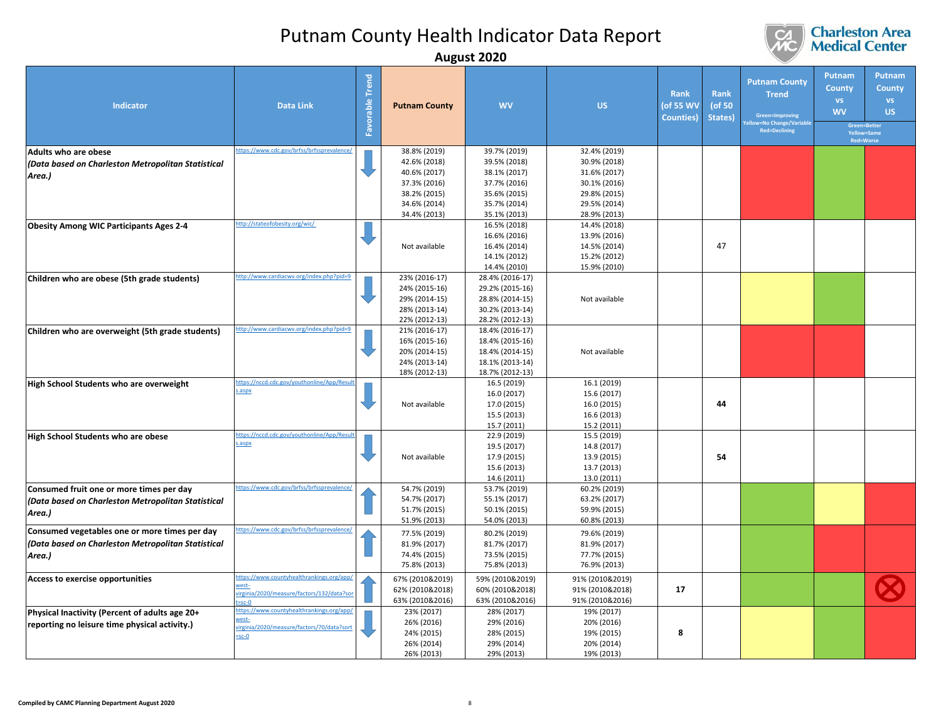

|                                                                                                               |                                                                                                                |                    |                                                                                                              | August ZUZU                                                                                                  |                                                                                                              |                                        |                           |                                                                                                               |                                                                |                                                                                   |
|---------------------------------------------------------------------------------------------------------------|----------------------------------------------------------------------------------------------------------------|--------------------|--------------------------------------------------------------------------------------------------------------|--------------------------------------------------------------------------------------------------------------|--------------------------------------------------------------------------------------------------------------|----------------------------------------|---------------------------|---------------------------------------------------------------------------------------------------------------|----------------------------------------------------------------|-----------------------------------------------------------------------------------|
| Indicator                                                                                                     | <b>Data Link</b>                                                                                               | Trend<br>Favorable | <b>Putnam County</b>                                                                                         | <b>WV</b>                                                                                                    | <b>US</b>                                                                                                    | Rank<br>(of 55 WV<br><b>Counties</b> ) | Rank<br>(of 50<br>States) | <b>Putnam County</b><br><b>Trend</b><br>Green=Improving<br><b>FNo Change/Variable</b><br><b>Red=Declining</b> | Putnam<br><b>County</b><br><b>VS</b><br><b>WV</b><br>Red=Worse | <b>Putnam</b><br><b>County</b><br><b>VS</b><br>US.<br>Green=Better<br>Yellow=Same |
| Adults who are obese<br>(Data based on Charleston Metropolitan Statistical<br>Area.)                          | https://www.cdc.gov/brfss/brfssprevalence/                                                                     |                    | 38.8% (2019)<br>42.6% (2018)<br>40.6% (2017)<br>37.3% (2016)<br>38.2% (2015)<br>34.6% (2014)<br>34.4% (2013) | 39.7% (2019)<br>39.5% (2018)<br>38.1% (2017)<br>37.7% (2016)<br>35.6% (2015)<br>35.7% (2014)<br>35.1% (2013) | 32.4% (2019)<br>30.9% (2018)<br>31.6% (2017)<br>30.1% (2016)<br>29.8% (2015)<br>29.5% (2014)<br>28.9% (2013) |                                        |                           |                                                                                                               |                                                                |                                                                                   |
| <b>Obesity Among WIC Participants Ages 2-4</b>                                                                | ttp://stateofobesity.org/wic/                                                                                  |                    | Not available                                                                                                | 16.5% (2018)<br>16.6% (2016)<br>16.4% (2014)<br>14.1% (2012)<br>14.4% (2010)                                 | 14.4% (2018)<br>13.9% (2016)<br>14.5% (2014)<br>15.2% (2012)<br>15.9% (2010)                                 |                                        | 47                        |                                                                                                               |                                                                |                                                                                   |
| Children who are obese (5th grade students)                                                                   | ttp://www.cardiacwv.org/index.php?pid=9                                                                        |                    | 23% (2016-17)<br>24% (2015-16)<br>29% (2014-15)<br>28% (2013-14)<br>22% (2012-13)                            | 28.4% (2016-17)<br>29.2% (2015-16)<br>28.8% (2014-15)<br>30.2% (2013-14)<br>28.2% (2012-13)                  | Not available                                                                                                |                                        |                           |                                                                                                               |                                                                |                                                                                   |
| Children who are overweight (5th grade students)                                                              | http://www.cardiacwv.org/index.php?pid=9                                                                       |                    | 21% (2016-17)<br>16% (2015-16)<br>20% (2014-15)<br>24% (2013-14)<br>18% (2012-13)                            | 18.4% (2016-17)<br>18.4% (2015-16)<br>18.4% (2014-15)<br>18.1% (2013-14)<br>18.7% (2012-13)                  | Not available                                                                                                |                                        |                           |                                                                                                               |                                                                |                                                                                   |
| High School Students who are overweight                                                                       | ttps://nccd.cdc.gov/youthonline/App/Resu<br>aspx.                                                              |                    | Not available                                                                                                | 16.5 (2019)<br>16.0 (2017)<br>17.0 (2015)<br>15.5 (2013)<br>15.7 (2011)                                      | 16.1 (2019)<br>15.6 (2017)<br>16.0 (2015)<br>16.6 (2013)<br>15.2 (2011)                                      |                                        | 44                        |                                                                                                               |                                                                |                                                                                   |
| High School Students who are obese                                                                            | https://nccd.cdc.gov/youthonline/App/Resu<br>.aspx                                                             |                    | Not available                                                                                                | 22.9 (2019)<br>19.5 (2017)<br>17.9 (2015)<br>15.6 (2013)<br>14.6 (2011)                                      | 15.5 (2019)<br>14.8 (2017)<br>13.9 (2015)<br>13.7 (2013)<br>13.0 (2011)                                      |                                        | 54                        |                                                                                                               |                                                                |                                                                                   |
| Consumed fruit one or more times per day<br>(Data based on Charleston Metropolitan Statistical<br>Area.)      | ttps://www.cdc.gov/brfss/brfssprevalence                                                                       |                    | 54.7% (2019)<br>54.7% (2017)<br>51.7% (2015)<br>51.9% (2013)                                                 | 53.7% (2019)<br>55.1% (2017)<br>50.1% (2015)<br>54.0% (2013)                                                 | 60.2% (2019)<br>63.2% (2017)<br>59.9% (2015)<br>60.8% (2013)                                                 |                                        |                           |                                                                                                               |                                                                |                                                                                   |
| Consumed vegetables one or more times per day<br>(Data based on Charleston Metropolitan Statistical<br>Area.) | ttps://www.cdc.gov/brfss/brfssprevalence/                                                                      |                    | 77.5% (2019)<br>81.9% (2017)<br>74.4% (2015)<br>75.8% (2013)                                                 | 80.2% (2019)<br>81.7% (2017)<br>73.5% (2015)<br>75.8% (2013)                                                 | 79.6% (2019)<br>81.9% (2017)<br>77.7% (2015)<br>76.9% (2013)                                                 |                                        |                           |                                                                                                               |                                                                |                                                                                   |
| Access to exercise opportunities                                                                              | ttps://www.countyhealthrankings.org/app/<br>rest-<br>irginia/2020/measure/factors/132/data?so<br>$=$ sc-O      |                    | 67% (2010&2019)<br>62% (2010&2018)<br>63% (2010&2016)                                                        | 59% (2010&2019)<br>60% (2010&2018)<br>63% (2010&2016)                                                        | 91% (2010&2019)<br>91% (2010&2018)<br>91% (2010&2016)                                                        | 17                                     |                           |                                                                                                               |                                                                |                                                                                   |
| Physical Inactivity (Percent of adults age 20+<br>reporting no leisure time physical activity.)               | https://www.countyhealthrankings.org/app<br>vest-<br>rirginia/2020/measure/factors/70/data?sort<br>$=$ sc $-0$ |                    | 23% (2017)<br>26% (2016)<br>24% (2015)<br>26% (2014)<br>26% (2013)                                           | 28% (2017)<br>29% (2016)<br>28% (2015)<br>29% (2014)<br>29% (2013)                                           | 19% (2017)<br>20% (2016)<br>19% (2015)<br>20% (2014)<br>19% (2013)                                           | 8                                      |                           |                                                                                                               |                                                                |                                                                                   |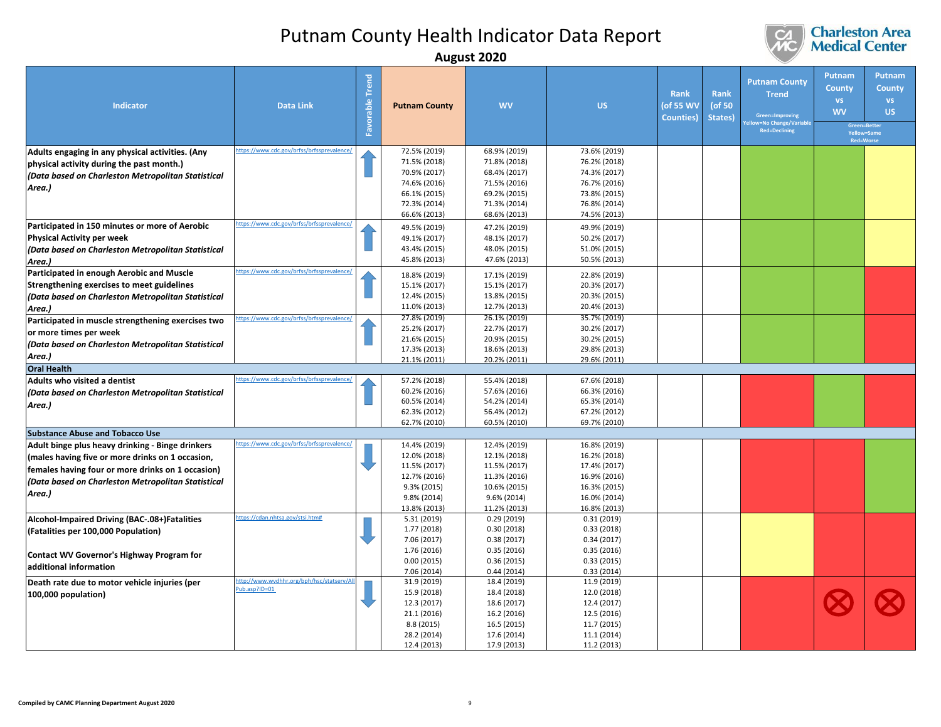

|                                                                                                                                                                                                                           |                                                         |                    |                                                                                                              | August ZUZU                                                                                                  |                                                                                                              |                                        |                           |                                                                                                       |                                                   |                                                                                                      |
|---------------------------------------------------------------------------------------------------------------------------------------------------------------------------------------------------------------------------|---------------------------------------------------------|--------------------|--------------------------------------------------------------------------------------------------------------|--------------------------------------------------------------------------------------------------------------|--------------------------------------------------------------------------------------------------------------|----------------------------------------|---------------------------|-------------------------------------------------------------------------------------------------------|---------------------------------------------------|------------------------------------------------------------------------------------------------------|
| <b>Indicator</b>                                                                                                                                                                                                          | <b>Data Link</b>                                        | Trend<br>Favorable | <b>Putnam County</b>                                                                                         | <b>WV</b>                                                                                                    | <b>US</b>                                                                                                    | Rank<br>(of 55 WV<br><b>Counties</b> ) | Rank<br>(of 50<br>States) | <b>Putnam County</b><br><b>Trend</b><br>Green=Improving<br>=No Change/Variabl<br><b>Red=Declining</b> | Putnam<br><b>County</b><br><b>VS</b><br><b>WV</b> | Putnam<br><b>County</b><br><b>VS</b><br><b>US</b><br>Green=Better<br>Yellow=Same<br><b>Red=Worse</b> |
| Adults engaging in any physical activities. (Any<br>physical activity during the past month.)<br>(Data based on Charleston Metropolitan Statistical<br>Area.)                                                             | ttps://www.cdc.gov/brfss/brfssprevalence/               |                    | 72.5% (2019)<br>71.5% (2018)<br>70.9% (2017)<br>74.6% (2016)<br>66.1% (2015)<br>72.3% (2014)<br>66.6% (2013) | 68.9% (2019)<br>71.8% (2018)<br>68.4% (2017)<br>71.5% (2016)<br>69.2% (2015)<br>71.3% (2014)<br>68.6% (2013) | 73.6% (2019)<br>76.2% (2018)<br>74.3% (2017)<br>76.7% (2016)<br>73.8% (2015)<br>76.8% (2014)<br>74.5% (2013) |                                        |                           |                                                                                                       |                                                   |                                                                                                      |
| Participated in 150 minutes or more of Aerobic<br><b>Physical Activity per week</b><br>(Data based on Charleston Metropolitan Statistical<br>Area.)                                                                       | ttps://www.cdc.gov/brfss/brfssprevalence/               |                    | 49.5% (2019)<br>49.1% (2017)<br>43.4% (2015)<br>45.8% (2013)                                                 | 47.2% (2019)<br>48.1% (2017)<br>48.0% (2015)<br>47.6% (2013)                                                 | 49.9% (2019)<br>50.2% (2017)<br>51.0% (2015)<br>50.5% (2013)                                                 |                                        |                           |                                                                                                       |                                                   |                                                                                                      |
| Participated in enough Aerobic and Muscle<br>Strengthening exercises to meet guidelines<br>(Data based on Charleston Metropolitan Statistical<br>Area.)                                                                   | ttps://www.cdc.gov/brfss/brfssprevalence,               |                    | 18.8% (2019)<br>15.1% (2017)<br>12.4% (2015)<br>11.0% (2013)                                                 | 17.1% (2019)<br>15.1% (2017)<br>13.8% (2015)<br>12.7% (2013)                                                 | 22.8% (2019)<br>20.3% (2017)<br>20.3% (2015)<br>20.4% (2013)                                                 |                                        |                           |                                                                                                       |                                                   |                                                                                                      |
| Participated in muscle strengthening exercises two<br>or more times per week<br>(Data based on Charleston Metropolitan Statistical<br>Area.)                                                                              | ttps://www.cdc.gov/brfss/brfssprevalence,               |                    | 27.8% (2019)<br>25.2% (2017)<br>21.6% (2015)<br>17.3% (2013)<br>21.1% (2011)                                 | 26.1% (2019)<br>22.7% (2017)<br>20.9% (2015)<br>18.6% (2013)<br>20.2% (2011)                                 | 35.7% (2019)<br>30.2% (2017)<br>30.2% (2015)<br>29.8% (2013)<br>29.6% (2011)                                 |                                        |                           |                                                                                                       |                                                   |                                                                                                      |
| <b>Oral Health</b><br>Adults who visited a dentist<br>(Data based on Charleston Metropolitan Statistical<br>Area.)                                                                                                        | ttps://www.cdc.gov/brfss/brfssprevalence,               |                    | 57.2% (2018)<br>60.2% (2016)<br>60.5% (2014)<br>62.3% (2012)<br>62.7% (2010)                                 | 55.4% (2018)<br>57.6% (2016)<br>54.2% (2014)<br>56.4% (2012)<br>60.5% (2010)                                 | 67.6% (2018)<br>66.3% (2016)<br>65.3% (2014)<br>67.2% (2012)<br>69.7% (2010)                                 |                                        |                           |                                                                                                       |                                                   |                                                                                                      |
| <b>Substance Abuse and Tobacco Use</b>                                                                                                                                                                                    |                                                         |                    |                                                                                                              |                                                                                                              |                                                                                                              |                                        |                           |                                                                                                       |                                                   |                                                                                                      |
| Adult binge plus heavy drinking - Binge drinkers<br>(males having five or more drinks on 1 occasion,<br>females having four or more drinks on 1 occasion)<br>(Data based on Charleston Metropolitan Statistical<br>Area.) | ttps://www.cdc.gov/brfss/brfssprevalence                |                    | 14.4% (2019)<br>12.0% (2018)<br>11.5% (2017)<br>12.7% (2016)<br>9.3% (2015)<br>9.8% (2014)<br>13.8% (2013)   | 12.4% (2019)<br>12.1% (2018)<br>11.5% (2017)<br>11.3% (2016)<br>10.6% (2015)<br>9.6% (2014)<br>11.2% (2013)  | 16.8% (2019)<br>16.2% (2018)<br>17.4% (2017)<br>16.9% (2016)<br>16.3% (2015)<br>16.0% (2014)<br>16.8% (2013) |                                        |                           |                                                                                                       |                                                   |                                                                                                      |
| Alcohol-Impaired Driving (BAC-.08+)Fatalities<br>(Fatalities per 100,000 Population)<br>Contact WV Governor's Highway Program for<br>additional information                                                               | ttps://cdan.nhtsa.gov/stsi.htm#                         |                    | 5.31 (2019)<br>1.77 (2018)<br>7.06 (2017)<br>1.76 (2016)<br>0.00(2015)<br>7.06 (2014)                        | 0.29(2019)<br>0.30(2018)<br>0.38(2017)<br>0.35(2016)<br>0.36(2015)<br>0.44(2014)                             | 0.31(2019)<br>0.33(2018)<br>0.34(2017)<br>0.35(2016)<br>0.33(2015)<br>0.33(2014)                             |                                        |                           |                                                                                                       |                                                   |                                                                                                      |
| Death rate due to motor vehicle injuries (per<br>100,000 population)                                                                                                                                                      | ttp://www.wvdhhr.org/bph/hsc/statserv/A<br>ub.asp?ID=01 |                    | 31.9 (2019)<br>15.9 (2018)<br>12.3 (2017)<br>21.1 (2016)<br>8.8 (2015)<br>28.2 (2014)<br>12.4 (2013)         | 18.4 (2019)<br>18.4 (2018)<br>18.6 (2017)<br>16.2 (2016)<br>16.5 (2015)<br>17.6 (2014)<br>17.9 (2013)        | 11.9 (2019)<br>12.0 (2018)<br>12.4 (2017)<br>12.5 (2016)<br>11.7 (2015)<br>11.1 (2014)<br>11.2 (2013)        |                                        |                           |                                                                                                       |                                                   |                                                                                                      |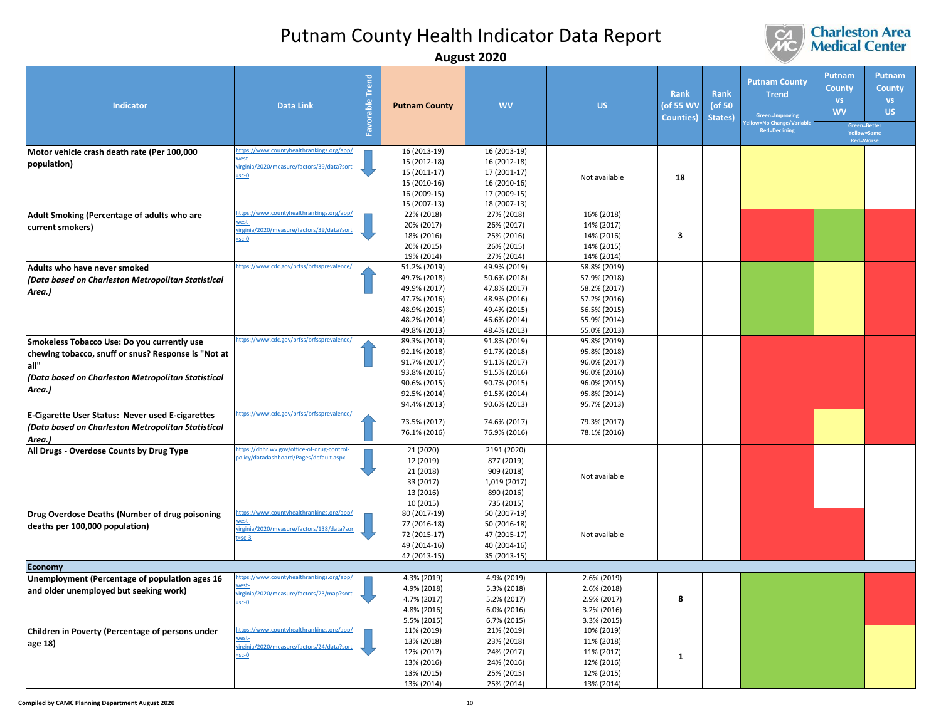

|                                                                                                                                                                            |                                                                                                                 |                               |                                                                                                              | August ZUZU                                                                                                  |                                                                                                              |                                               |                           |                                                                                                             |                                                                                                      |                                                   |
|----------------------------------------------------------------------------------------------------------------------------------------------------------------------------|-----------------------------------------------------------------------------------------------------------------|-------------------------------|--------------------------------------------------------------------------------------------------------------|--------------------------------------------------------------------------------------------------------------|--------------------------------------------------------------------------------------------------------------|-----------------------------------------------|---------------------------|-------------------------------------------------------------------------------------------------------------|------------------------------------------------------------------------------------------------------|---------------------------------------------------|
| Indicator                                                                                                                                                                  | <b>Data Link</b>                                                                                                | <b>Trend</b><br>orable<br>Fav | <b>Putnam County</b>                                                                                         | <b>WV</b>                                                                                                    | <b>US</b>                                                                                                    | <b>Rank</b><br>(of 55 WV<br><b>Counties</b> ) | Rank<br>(of 50<br>States) | <b>Putnam County</b><br><b>Trend</b><br>Green=Improving<br>ellow=No Change/Variable<br><b>Red=Declining</b> | Putnam<br><b>County</b><br><b>VS</b><br><b>WV</b><br>Green=Better<br>Yellow=Same<br><b>Red=Worse</b> | Putnam<br><b>County</b><br><b>VS</b><br><b>US</b> |
| Motor vehicle crash death rate (Per 100,000<br>population)                                                                                                                 | https://www.countyhealthrankings.org/app/<br>vest-<br>virginia/2020/measure/factors/39/data?sort<br>$-sc-0$     |                               | 16 (2013-19)<br>15 (2012-18)<br>15 (2011-17)<br>15 (2010-16)<br>16 (2009-15)<br>15 (2007-13)                 | 16 (2013-19)<br>16 (2012-18)<br>17 (2011-17)<br>16 (2010-16)<br>17 (2009-15)<br>18 (2007-13)                 | Not available                                                                                                | 18                                            |                           |                                                                                                             |                                                                                                      |                                                   |
| Adult Smoking (Percentage of adults who are<br>current smokers)                                                                                                            | https://www.countyhealthrankings.org/app/<br>virginia/2020/measure/factors/39/data?sort<br>sc-0                 |                               | 22% (2018)<br>20% (2017)<br>18% (2016)<br>20% (2015)<br>19% (2014)                                           | 27% (2018)<br>26% (2017)<br>25% (2016)<br>26% (2015)<br>27% (2014)                                           | 16% (2018)<br>14% (2017)<br>14% (2016)<br>14% (2015)<br>14% (2014)                                           | 3                                             |                           |                                                                                                             |                                                                                                      |                                                   |
| Adults who have never smoked<br>Data based on Charleston Metropolitan Statistical<br>Area.)                                                                                | ttps://www.cdc.gov/brfss/brfssprevalence/                                                                       |                               | 51.2% (2019)<br>49.7% (2018)<br>49.9% (2017)<br>47.7% (2016)<br>48.9% (2015)<br>48.2% (2014)<br>49.8% (2013) | 49.9% (2019)<br>50.6% (2018)<br>47.8% (2017)<br>48.9% (2016)<br>49.4% (2015)<br>46.6% (2014)<br>48.4% (2013) | 58.8% (2019)<br>57.9% (2018)<br>58.2% (2017)<br>57.2% (2016)<br>56.5% (2015)<br>55.9% (2014)<br>55.0% (2013) |                                               |                           |                                                                                                             |                                                                                                      |                                                   |
| Smokeless Tobacco Use: Do you currently use<br>chewing tobacco, snuff or snus? Response is "Not at<br>all"<br>(Data based on Charleston Metropolitan Statistical<br>Area.) | https://www.cdc.gov/brfss/brfssprevalence/                                                                      |                               | 89.3% (2019)<br>92.1% (2018)<br>91.7% (2017)<br>93.8% (2016)<br>90.6% (2015)<br>92.5% (2014)<br>94.4% (2013) | 91.8% (2019)<br>91.7% (2018)<br>91.1% (2017)<br>91.5% (2016)<br>90.7% (2015)<br>91.5% (2014)<br>90.6% (2013) | 95.8% (2019)<br>95.8% (2018)<br>96.0% (2017)<br>96.0% (2016)<br>96.0% (2015)<br>95.8% (2014)<br>95.7% (2013) |                                               |                           |                                                                                                             |                                                                                                      |                                                   |
| E-Cigarette User Status: Never used E-cigarettes<br>(Data based on Charleston Metropolitan Statistical<br>Area.)                                                           | https://www.cdc.gov/brfss/brfssprevalence/                                                                      |                               | 73.5% (2017)<br>76.1% (2016)                                                                                 | 74.6% (2017)<br>76.9% (2016)                                                                                 | 79.3% (2017)<br>78.1% (2016)                                                                                 |                                               |                           |                                                                                                             |                                                                                                      |                                                   |
| All Drugs - Overdose Counts by Drug Type                                                                                                                                   | https://dhhr.wv.gov/office-of-drug-control-<br>olicy/datadashboard/Pages/default.aspx                           |                               | 21 (2020)<br>12 (2019)<br>21 (2018)<br>33 (2017)<br>13 (2016)<br>10 (2015)                                   | 2191 (2020)<br>877 (2019)<br>909 (2018)<br>1,019 (2017)<br>890 (2016)<br>735 (2015)                          | Not available                                                                                                |                                               |                           |                                                                                                             |                                                                                                      |                                                   |
| Drug Overdose Deaths (Number of drug poisoning<br>deaths per 100,000 population)                                                                                           | https://www.countyhealthrankings.org/app/<br>rest-<br>virginia/2020/measure/factors/138/data?so<br>$t = sc-3$   |                               | 80 (2017-19)<br>77 (2016-18)<br>72 (2015-17)<br>49 (2014-16)<br>42 (2013-15)                                 | 50 (2017-19)<br>50 (2016-18)<br>47 (2015-17)<br>40 (2014-16)<br>35 (2013-15)                                 | Not available                                                                                                |                                               |                           |                                                                                                             |                                                                                                      |                                                   |
| <b>Economy</b>                                                                                                                                                             |                                                                                                                 |                               |                                                                                                              |                                                                                                              |                                                                                                              |                                               |                           |                                                                                                             |                                                                                                      |                                                   |
| Unemployment (Percentage of population ages 16<br>and older unemployed but seeking work)                                                                                   | https://www.countyhealthrankings.org/app<br>vest-<br><u>rginia/2020/measure/factors/23/map?sort</u><br>$=$ sc-O |                               | 4.3% (2019)<br>4.9% (2018)<br>4.7% (2017)<br>4.8% (2016)<br>5.5% (2015)                                      | 4.9% (2019)<br>5.3% (2018)<br>5.2% (2017)<br>6.0% (2016)<br>6.7% (2015)                                      | 2.6% (2019)<br>2.6% (2018)<br>2.9% (2017)<br>3.2% (2016)<br>3.3% (2015)                                      | 8                                             |                           |                                                                                                             |                                                                                                      |                                                   |
| Children in Poverty (Percentage of persons under<br>age 18)                                                                                                                | ttps://www.countyhealthrankings.org/app/<br>west-<br>irginia/2020/measure/factors/24/data?sort<br>$=$ sc-O      |                               | 11% (2019)<br>13% (2018)<br>12% (2017)<br>13% (2016)<br>13% (2015)<br>13% (2014)                             | 21% (2019)<br>23% (2018)<br>24% (2017)<br>24% (2016)<br>25% (2015)<br>25% (2014)                             | 10% (2019)<br>11% (2018)<br>11% (2017)<br>12% (2016)<br>12% (2015)<br>13% (2014)                             | 1                                             |                           |                                                                                                             |                                                                                                      |                                                   |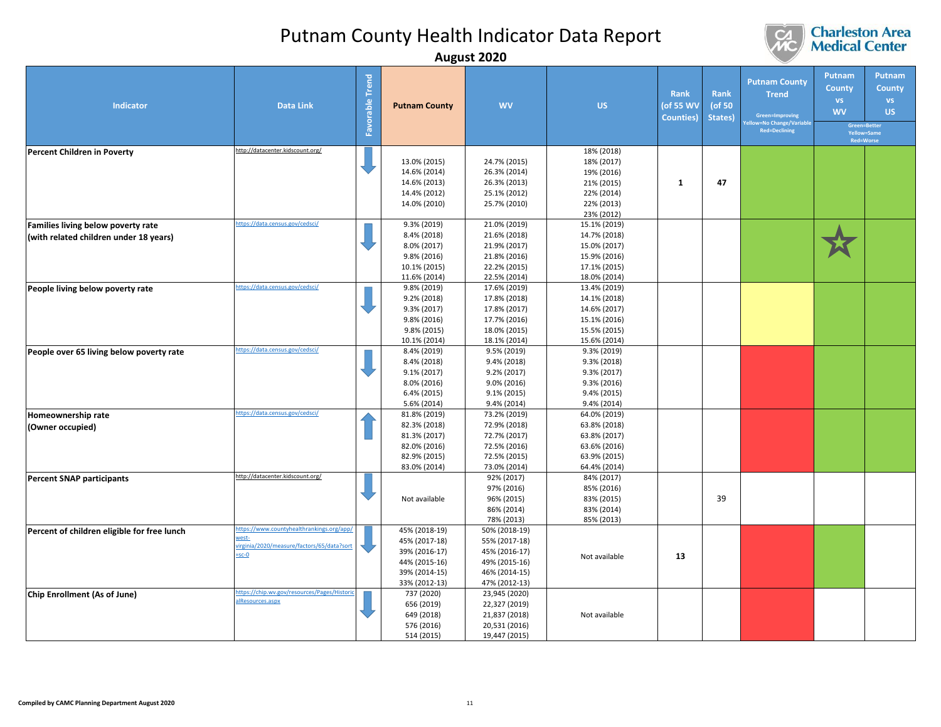

|                                                                              |                                                                                                           |                        |                                                                                                    | August ZUZU                                                                                        |                                                                                                |                                        |                                  |                                                                                                        |                                      |                                                                                                |
|------------------------------------------------------------------------------|-----------------------------------------------------------------------------------------------------------|------------------------|----------------------------------------------------------------------------------------------------|----------------------------------------------------------------------------------------------------|------------------------------------------------------------------------------------------------|----------------------------------------|----------------------------------|--------------------------------------------------------------------------------------------------------|--------------------------------------|------------------------------------------------------------------------------------------------|
| Indicator                                                                    | <b>Data Link</b>                                                                                          | <b>Favorable Trend</b> | <b>Putnam County</b>                                                                               | <b>WV</b>                                                                                          | <b>US</b>                                                                                      | Rank<br>(of 55 WV<br><b>Counties</b> ) | <b>Rank</b><br>(of 50<br>States) | <b>Putnam County</b><br><b>Trend</b><br>Green=Improving<br>v=No Change/Variabl<br><b>Red=Declining</b> | Putnam<br>County<br>VS.<br><b>WV</b> | Putnam<br><b>County</b><br><b>VS</b><br>US.<br>Green=Better<br>Yellow=Same<br><b>Red=Worse</b> |
| <b>Percent Children in Poverty</b>                                           | http://datacenter.kidscount.org/                                                                          |                        | 13.0% (2015)<br>14.6% (2014)<br>14.6% (2013)<br>14.4% (2012)<br>14.0% (2010)                       | 24.7% (2015)<br>26.3% (2014)<br>26.3% (2013)<br>25.1% (2012)<br>25.7% (2010)                       | 18% (2018)<br>18% (2017)<br>19% (2016)<br>21% (2015)<br>22% (2014)<br>22% (2013)<br>23% (2012) | $\mathbf{1}$                           | 47                               |                                                                                                        |                                      |                                                                                                |
| Families living below poverty rate<br>(with related children under 18 years) | https://data.census.gov/cedsci/                                                                           |                        | 9.3% (2019)<br>8.4% (2018)<br>8.0% (2017)<br>9.8% (2016)<br>10.1% (2015)<br>11.6% (2014)           | 21.0% (2019)<br>21.6% (2018)<br>21.9% (2017)<br>21.8% (2016)<br>22.2% (2015)<br>22.5% (2014)       | 15.1% (2019)<br>14.7% (2018)<br>15.0% (2017)<br>15.9% (2016)<br>17.1% (2015)<br>18.0% (2014)   |                                        |                                  |                                                                                                        |                                      |                                                                                                |
| People living below poverty rate                                             | ttps://data.census.gov/cedsci/                                                                            |                        | 9.8% (2019)<br>9.2% (2018)<br>9.3% (2017)<br>9.8% (2016)<br>9.8% (2015)<br>10.1% (2014)            | 17.6% (2019)<br>17.8% (2018)<br>17.8% (2017)<br>17.7% (2016)<br>18.0% (2015)<br>18.1% (2014)       | 13.4% (2019)<br>14.1% (2018)<br>14.6% (2017)<br>15.1% (2016)<br>15.5% (2015)<br>15.6% (2014)   |                                        |                                  |                                                                                                        |                                      |                                                                                                |
| People over 65 living below poverty rate                                     | https://data.census.gov/cedsci/                                                                           |                        | 8.4% (2019)<br>8.4% (2018)<br>9.1% (2017)<br>8.0% (2016)<br>6.4% (2015)<br>5.6% (2014)             | 9.5% (2019)<br>9.4% (2018)<br>9.2% (2017)<br>9.0% (2016)<br>$9.1\% (2015)$<br>9.4% (2014)          | 9.3% (2019)<br>9.3% (2018)<br>9.3% (2017)<br>9.3% (2016)<br>9.4% (2015)<br>9.4% (2014)         |                                        |                                  |                                                                                                        |                                      |                                                                                                |
| Homeownership rate<br>(Owner occupied)                                       | ttps://data.census.gov/cedsci/                                                                            |                        | 81.8% (2019)<br>82.3% (2018)<br>81.3% (2017)<br>82.0% (2016)<br>82.9% (2015)<br>83.0% (2014)       | 73.2% (2019)<br>72.9% (2018)<br>72.7% (2017)<br>72.5% (2016)<br>72.5% (2015)<br>73.0% (2014)       | 64.0% (2019)<br>63.8% (2018)<br>63.8% (2017)<br>63.6% (2016)<br>63.9% (2015)<br>64.4% (2014)   |                                        |                                  |                                                                                                        |                                      |                                                                                                |
| <b>Percent SNAP participants</b>                                             | http://datacenter.kidscount.org/                                                                          |                        | Not available                                                                                      | 92% (2017)<br>97% (2016)<br>96% (2015)<br>86% (2014)<br>78% (2013)                                 | 84% (2017)<br>85% (2016)<br>83% (2015)<br>83% (2014)<br>85% (2013)                             |                                        | 39                               |                                                                                                        |                                      |                                                                                                |
| Percent of children eligible for free lunch                                  | https://www.countyhealthrankings.org/app<br>vest-<br>irginia/2020/measure/factors/65/data?sor<br>$=$ sc-O |                        | 45% (2018-19)<br>45% (2017-18)<br>39% (2016-17)<br>44% (2015-16)<br>39% (2014-15)<br>33% (2012-13) | 50% (2018-19)<br>55% (2017-18)<br>45% (2016-17)<br>49% (2015-16)<br>46% (2014-15)<br>47% (2012-13) | Not available                                                                                  | 13                                     |                                  |                                                                                                        |                                      |                                                                                                |
| Chip Enrollment (As of June)                                                 | ttps://chip.wv.gov/resources/Pages/Histor<br><b>IResources.aspx</b>                                       |                        | 737 (2020)<br>656 (2019)<br>649 (2018)<br>576 (2016)<br>514 (2015)                                 | 23,945 (2020)<br>22,327 (2019)<br>21,837 (2018)<br>20,531 (2016)<br>19,447 (2015)                  | Not available                                                                                  |                                        |                                  |                                                                                                        |                                      |                                                                                                |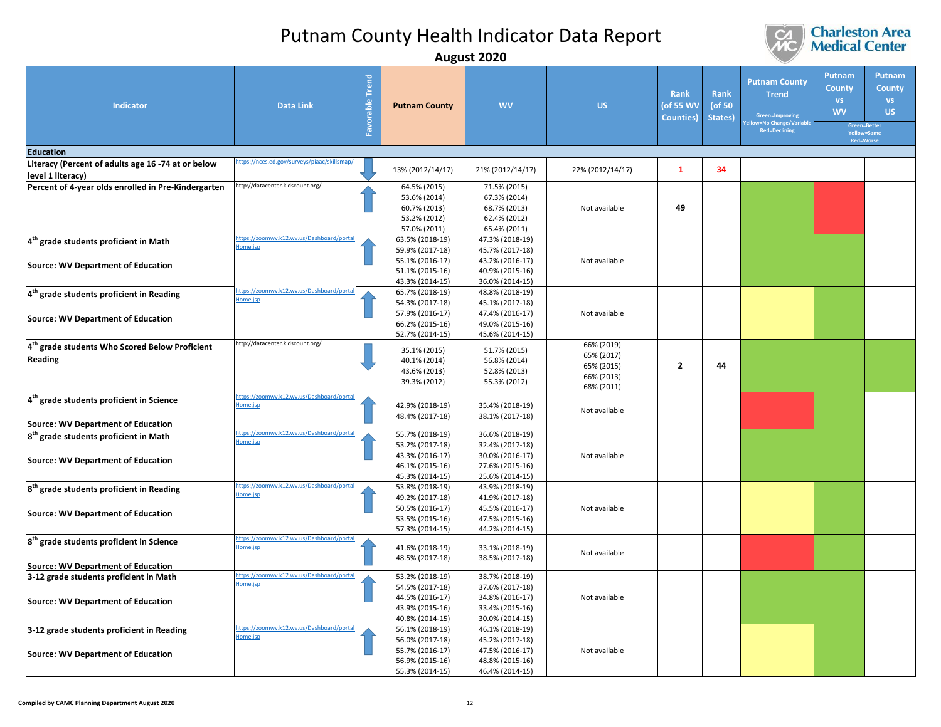

## **Charleston Area**<br>**Medical Center**

**Green=Better Yellow=Same Red=Worse**

**Putnam County US**

**Putnam County WV**

| <b>Indicator</b>                                           | <b>Data Link</b>                                     | Favorable Trend | <b>Putnam County</b> | <b>WV</b>        | <b>US</b>        | <b>Rank</b><br>(of 55 WV<br><b>Counties</b> ) | Rank<br>(of 50<br>States) | <b>Putnam County</b><br><b>Trend</b><br>Green=Improving<br>ellow=No Change/Variable<br><b>Red=Declining</b> | Pι<br>$\overline{C}$ |
|------------------------------------------------------------|------------------------------------------------------|-----------------|----------------------|------------------|------------------|-----------------------------------------------|---------------------------|-------------------------------------------------------------------------------------------------------------|----------------------|
| <b>Education</b>                                           |                                                      |                 |                      |                  |                  |                                               |                           |                                                                                                             |                      |
| Literacy (Percent of adults age 16 -74 at or below         | ittps://nces.ed.gov/surveys/piaac/skillsma           |                 | 13% (2012/14/17)     | 21% (2012/14/17) | 22% (2012/14/17) | 1                                             | 34                        |                                                                                                             |                      |
| level 1 literacy)                                          | http://datacenter.kidscount.org/                     |                 | 64.5% (2015)         | 71.5% (2015)     |                  |                                               |                           |                                                                                                             |                      |
| Percent of 4-year olds enrolled in Pre-Kindergarten        |                                                      |                 | 53.6% (2014)         | 67.3% (2014)     |                  |                                               |                           |                                                                                                             |                      |
|                                                            |                                                      |                 | 60.7% (2013)         | 68.7% (2013)     | Not available    | 49                                            |                           |                                                                                                             |                      |
|                                                            |                                                      |                 | 53.2% (2012)         | 62.4% (2012)     |                  |                                               |                           |                                                                                                             |                      |
|                                                            |                                                      |                 | 57.0% (2011)         | 65.4% (2011)     |                  |                                               |                           |                                                                                                             |                      |
| 4 <sup>th</sup> grade students proficient in Math          | ttps://zoomwy.k12.wy.us/Dashboard/portal             |                 | 63.5% (2018-19)      | 47.3% (2018-19)  |                  |                                               |                           |                                                                                                             |                      |
|                                                            | lome.jsp                                             |                 | 59.9% (2017-18)      | 45.7% (2017-18)  |                  |                                               |                           |                                                                                                             |                      |
|                                                            |                                                      |                 | 55.1% (2016-17)      | 43.2% (2016-17)  | Not available    |                                               |                           |                                                                                                             |                      |
| <b>Source: WV Department of Education</b>                  |                                                      |                 | 51.1% (2015-16)      | 40.9% (2015-16)  |                  |                                               |                           |                                                                                                             |                      |
|                                                            |                                                      |                 | 43.3% (2014-15)      | 36.0% (2014-15)  |                  |                                               |                           |                                                                                                             |                      |
| 14 <sup>th</sup> grade students proficient in Reading      | ittps://zoomwy.k12.wy.us/Dashboard/porta             |                 | 65.7% (2018-19)      | 48.8% (2018-19)  |                  |                                               |                           |                                                                                                             |                      |
|                                                            | lome.jsp                                             |                 | 54.3% (2017-18)      | 45.1% (2017-18)  |                  |                                               |                           |                                                                                                             |                      |
|                                                            |                                                      |                 | 57.9% (2016-17)      | 47.4% (2016-17)  | Not available    |                                               |                           |                                                                                                             |                      |
| Source: WV Department of Education                         |                                                      |                 | 66.2% (2015-16)      | 49.0% (2015-16)  |                  |                                               |                           |                                                                                                             |                      |
|                                                            |                                                      |                 | 52.7% (2014-15)      | 45.6% (2014-15)  |                  |                                               |                           |                                                                                                             |                      |
| 4 <sup>th</sup> grade students Who Scored Below Proficient | http://datacenter.kidscount.org/                     |                 | 35.1% (2015)         | 51.7% (2015)     | 66% (2019)       |                                               |                           |                                                                                                             |                      |
| Reading                                                    |                                                      |                 | 40.1% (2014)         | 56.8% (2014)     | 65% (2017)       |                                               |                           |                                                                                                             |                      |
|                                                            |                                                      |                 | 43.6% (2013)         | 52.8% (2013)     | 65% (2015)       | $\overline{2}$                                | 44                        |                                                                                                             |                      |
|                                                            |                                                      |                 | 39.3% (2012)         | 55.3% (2012)     | 66% (2013)       |                                               |                           |                                                                                                             |                      |
|                                                            |                                                      |                 |                      |                  | 68% (2011)       |                                               |                           |                                                                                                             |                      |
| 4 <sup>th</sup> grade students proficient in Science       | ttps://zoomwy.k12.wy.us/Dashboard/porta<br>lome.jsp  |                 | 42.9% (2018-19)      | 35.4% (2018-19)  |                  |                                               |                           |                                                                                                             |                      |
|                                                            |                                                      |                 | 48.4% (2017-18)      | 38.1% (2017-18)  | Not available    |                                               |                           |                                                                                                             |                      |
| Source: WV Department of Education                         |                                                      |                 |                      |                  |                  |                                               |                           |                                                                                                             |                      |
| 8 <sup>th</sup> grade students proficient in Math          | https://zoomwv.k12.wv.us/Dashboard/porta             |                 | 55.7% (2018-19)      | 36.6% (2018-19)  |                  |                                               |                           |                                                                                                             |                      |
|                                                            | Home.jsp                                             |                 | 53.2% (2017-18)      | 32.4% (2017-18)  |                  |                                               |                           |                                                                                                             |                      |
| <b>Source: WV Department of Education</b>                  |                                                      |                 | 43.3% (2016-17)      | 30.0% (2016-17)  | Not available    |                                               |                           |                                                                                                             |                      |
|                                                            |                                                      |                 | 46.1% (2015-16)      | 27.6% (2015-16)  |                  |                                               |                           |                                                                                                             |                      |
|                                                            |                                                      |                 | 45.3% (2014-15)      | 25.6% (2014-15)  |                  |                                               |                           |                                                                                                             |                      |
| 8 <sup>th</sup> grade students proficient in Reading       | ttps://zoomwy.k12.wy.us/Dashboard/porta              |                 | 53.8% (2018-19)      | 43.9% (2018-19)  |                  |                                               |                           |                                                                                                             |                      |
|                                                            | lome.jsp                                             |                 | 49.2% (2017-18)      | 41.9% (2017-18)  |                  |                                               |                           |                                                                                                             |                      |
| <b>Source: WV Department of Education</b>                  |                                                      |                 | 50.5% (2016-17)      | 45.5% (2016-17)  | Not available    |                                               |                           |                                                                                                             |                      |
|                                                            |                                                      |                 | 53.5% (2015-16)      | 47.5% (2015-16)  |                  |                                               |                           |                                                                                                             |                      |
|                                                            |                                                      |                 | 57.3% (2014-15)      | 44.2% (2014-15)  |                  |                                               |                           |                                                                                                             |                      |
| 8 <sup>th</sup> grade students proficient in Science       | ttps://zoomwv.k12.wv.us/Dashboard/portal<br>lome.jsp |                 | 41.6% (2018-19)      | 33.1% (2018-19)  |                  |                                               |                           |                                                                                                             |                      |
|                                                            |                                                      |                 | 48.5% (2017-18)      | 38.5% (2017-18)  | Not available    |                                               |                           |                                                                                                             |                      |
| Source: WV Department of Education                         |                                                      |                 |                      |                  |                  |                                               |                           |                                                                                                             |                      |
| 3-12 grade students proficient in Math                     | ttps://zoomwy.k12.wy.us/Dashboard/porta              |                 | 53.2% (2018-19)      | 38.7% (2018-19)  |                  |                                               |                           |                                                                                                             |                      |
|                                                            | Home.jsp                                             |                 | 54.5% (2017-18)      | 37.6% (2017-18)  |                  |                                               |                           |                                                                                                             |                      |

**Source: WV Department of Education** 

**Source: WV Department of Education** 

**3-12 grade students proficient in Reading**

34.8% (2016-17) 33.4% (2015-16) 30.0% (2014-15)

46.1% (2018-19) 45.2% (2017-18) 47.5% (2016-17) 48.8% (2015-16) 46.4% (2014-15) Not available

Not available

44.5% (2016-17) 43.9% (2015-16) 40.8% (2014-15)

56.1% (2018-19) 56.0% (2017-18) 55.7% (2016-17) 56.9% (2015-16) 55.3% (2014-15)

[https://zoomwv.k12.wv.us/Dashboard/portal](https://zoomwv.k12.wv.us/Dashboard/portalHome.jsp)

[Home.jsp](https://zoomwv.k12.wv.us/Dashboard/portalHome.jsp)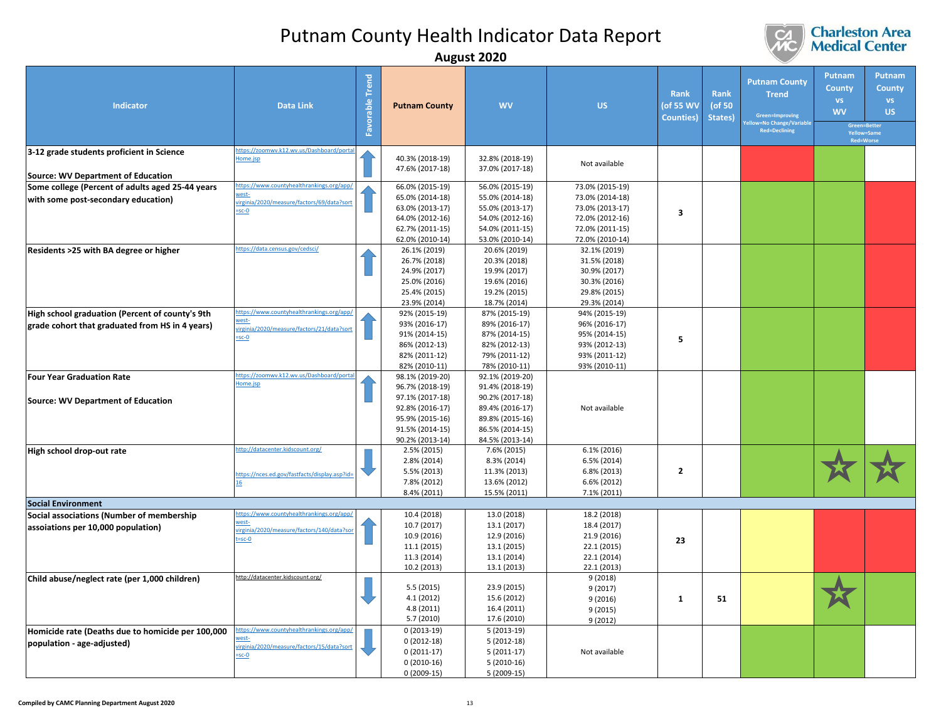

|                                                                                        | . <b>.</b>                                               |                    |                                    |                                    |                                |                                               |                                  |                                                                                                         |                                                                                               |                                                          |
|----------------------------------------------------------------------------------------|----------------------------------------------------------|--------------------|------------------------------------|------------------------------------|--------------------------------|-----------------------------------------------|----------------------------------|---------------------------------------------------------------------------------------------------------|-----------------------------------------------------------------------------------------------|----------------------------------------------------------|
| <b>Indicator</b>                                                                       | <b>Data Link</b>                                         | Trend<br>Favorable | <b>Putnam County</b>               | <b>WV</b>                          | <b>US</b>                      | <b>Rank</b><br>(of 55 WV<br><b>Counties</b> ) | <b>Rank</b><br>(of 50<br>States) | <b>Putnam County</b><br><b>Trend</b><br>Green=Improving<br>w=No Change/Variable<br><b>Red=Declining</b> | Putnam<br><b>County</b><br><b>VS</b><br><b>WV</b><br>Green=Better<br>Yellow=Same<br>Red=Worse | <b>Putnam</b><br><b>County</b><br><b>VS</b><br><b>US</b> |
| 3-12 grade students proficient in Science                                              | ttps://zoomwv.k12.wv.us/Dashboard/port<br>lome.jsp       |                    | 40.3% (2018-19)<br>47.6% (2017-18) | 32.8% (2018-19)<br>37.0% (2017-18) | Not available                  |                                               |                                  |                                                                                                         |                                                                                               |                                                          |
| Source: WV Department of Education<br>Some college (Percent of adults aged 25-44 years | ttps://www.countyhealthrankings.org/app/                 |                    | 66.0% (2015-19)                    | 56.0% (2015-19)                    | 73.0% (2015-19)                |                                               |                                  |                                                                                                         |                                                                                               |                                                          |
| with some post-secondary education)                                                    | west-                                                    |                    | 65.0% (2014-18)                    | 55.0% (2014-18)                    | 73.0% (2014-18)                |                                               |                                  |                                                                                                         |                                                                                               |                                                          |
|                                                                                        | rirginia/2020/measure/factors/69/data?sort<br>$=sc-0$    |                    | 63.0% (2013-17)                    | 55.0% (2013-17)                    | 73.0% (2013-17)                |                                               |                                  |                                                                                                         |                                                                                               |                                                          |
|                                                                                        |                                                          |                    | 64.0% (2012-16)                    | 54.0% (2012-16)                    | 72.0% (2012-16)                | 3                                             |                                  |                                                                                                         |                                                                                               |                                                          |
|                                                                                        |                                                          |                    | 62.7% (2011-15)                    | 54.0% (2011-15)                    | 72.0% (2011-15)                |                                               |                                  |                                                                                                         |                                                                                               |                                                          |
|                                                                                        | ttps://data.census.gov/cedsci/                           |                    | 62.0% (2010-14)                    | 53.0% (2010-14)                    | 72.0% (2010-14)                |                                               |                                  |                                                                                                         |                                                                                               |                                                          |
| Residents >25 with BA degree or higher                                                 |                                                          |                    | 26.1% (2019)<br>26.7% (2018)       | 20.6% (2019)<br>20.3% (2018)       | 32.1% (2019)<br>31.5% (2018)   |                                               |                                  |                                                                                                         |                                                                                               |                                                          |
|                                                                                        |                                                          |                    | 24.9% (2017)                       | 19.9% (2017)                       | 30.9% (2017)                   |                                               |                                  |                                                                                                         |                                                                                               |                                                          |
|                                                                                        |                                                          |                    | 25.0% (2016)                       | 19.6% (2016)                       | 30.3% (2016)                   |                                               |                                  |                                                                                                         |                                                                                               |                                                          |
|                                                                                        |                                                          |                    | 25.4% (2015)                       | 19.2% (2015)                       | 29.8% (2015)                   |                                               |                                  |                                                                                                         |                                                                                               |                                                          |
|                                                                                        |                                                          |                    | 23.9% (2014)                       | 18.7% (2014)                       | 29.3% (2014)                   |                                               |                                  |                                                                                                         |                                                                                               |                                                          |
| High school graduation (Percent of county's 9th                                        | ttps://www.countyhealthrankings.org/app/<br><u>vest-</u> |                    | 92% (2015-19)                      | 87% (2015-19)                      | 94% (2015-19)                  |                                               |                                  |                                                                                                         |                                                                                               |                                                          |
| grade cohort that graduated from HS in 4 years)                                        | virginia/2020/measure/factors/21/data?sor                |                    | 93% (2016-17)                      | 89% (2016-17)                      | 96% (2016-17)                  |                                               |                                  |                                                                                                         |                                                                                               |                                                          |
|                                                                                        | $=$ sc-O                                                 |                    | 91% (2014-15)<br>86% (2012-13)     | 87% (2014-15)<br>82% (2012-13)     | 95% (2014-15)<br>93% (2012-13) | 5                                             |                                  |                                                                                                         |                                                                                               |                                                          |
|                                                                                        |                                                          |                    | 82% (2011-12)                      | 79% (2011-12)                      | 93% (2011-12)                  |                                               |                                  |                                                                                                         |                                                                                               |                                                          |
|                                                                                        |                                                          |                    | 82% (2010-11)                      | 78% (2010-11)                      | 93% (2010-11)                  |                                               |                                  |                                                                                                         |                                                                                               |                                                          |
| <b>Four Year Graduation Rate</b>                                                       | ttps://zoomwv.k12.wv.us/Dashboard/porta                  |                    | 98.1% (2019-20)                    | 92.1% (2019-20)                    |                                |                                               |                                  |                                                                                                         |                                                                                               |                                                          |
|                                                                                        | lome.jsp                                                 |                    | 96.7% (2018-19)                    | 91.4% (2018-19)                    |                                |                                               |                                  |                                                                                                         |                                                                                               |                                                          |
| <b>Source: WV Department of Education</b>                                              |                                                          |                    | 97.1% (2017-18)                    | 90.2% (2017-18)                    |                                |                                               |                                  |                                                                                                         |                                                                                               |                                                          |
|                                                                                        |                                                          |                    | 92.8% (2016-17)                    | 89.4% (2016-17)                    | Not available                  |                                               |                                  |                                                                                                         |                                                                                               |                                                          |
|                                                                                        |                                                          |                    | 95.9% (2015-16)<br>91.5% (2014-15) | 89.8% (2015-16)<br>86.5% (2014-15) |                                |                                               |                                  |                                                                                                         |                                                                                               |                                                          |
|                                                                                        |                                                          |                    | 90.2% (2013-14)                    | 84.5% (2013-14)                    |                                |                                               |                                  |                                                                                                         |                                                                                               |                                                          |
| High school drop-out rate                                                              | ttp://datacenter.kidscount.org/                          |                    | 2.5% (2015)                        | 7.6% (2015)                        | 6.1% (2016)                    |                                               |                                  |                                                                                                         |                                                                                               |                                                          |
|                                                                                        |                                                          |                    | 2.8% (2014)                        | 8.3% (2014)                        | 6.5% (2014)                    |                                               |                                  |                                                                                                         |                                                                                               |                                                          |
|                                                                                        | ttps://nces.ed.gov/fastfacts/display.asp?id=             |                    | 5.5% (2013)                        | 11.3% (2013)                       | 6.8% (2013)                    | $\overline{2}$                                |                                  |                                                                                                         |                                                                                               |                                                          |
|                                                                                        |                                                          |                    | 7.8% (2012)                        | 13.6% (2012)                       | 6.6% (2012)                    |                                               |                                  |                                                                                                         |                                                                                               |                                                          |
| <b>Social Environment</b>                                                              |                                                          |                    | 8.4% (2011)                        | 15.5% (2011)                       | 7.1% (2011)                    |                                               |                                  |                                                                                                         |                                                                                               |                                                          |
| Social associations (Number of membership                                              | ttps://www.countyhealthrankings.org/app/                 |                    | 10.4 (2018)                        | 13.0 (2018)                        | 18.2 (2018)                    |                                               |                                  |                                                                                                         |                                                                                               |                                                          |
| assoiations per 10,000 population)                                                     | rest-                                                    |                    | 10.7 (2017)                        | 13.1 (2017)                        | 18.4 (2017)                    |                                               |                                  |                                                                                                         |                                                                                               |                                                          |
|                                                                                        | irginia/2020/measure/factors/140/data?so<br>$=$ sc-O     |                    | 10.9 (2016)                        | 12.9 (2016)                        | 21.9 (2016)                    | 23                                            |                                  |                                                                                                         |                                                                                               |                                                          |
|                                                                                        |                                                          |                    | 11.1 (2015)                        | 13.1 (2015)                        | 22.1 (2015)                    |                                               |                                  |                                                                                                         |                                                                                               |                                                          |
|                                                                                        |                                                          |                    | 11.3 (2014)                        | 13.1 (2014)                        | 22.1 (2014)                    |                                               |                                  |                                                                                                         |                                                                                               |                                                          |
|                                                                                        | http://datacenter.kidscount.org/                         |                    | 10.2 (2013)                        | 13.1 (2013)                        | 22.1 (2013)<br>9(2018)         |                                               |                                  |                                                                                                         |                                                                                               |                                                          |
| Child abuse/neglect rate (per 1,000 children)                                          |                                                          |                    | 5.5 (2015)                         | 23.9 (2015)                        | 9(2017)                        |                                               |                                  |                                                                                                         |                                                                                               |                                                          |
|                                                                                        |                                                          |                    | 4.1 (2012)                         | 15.6 (2012)                        | 9(2016)                        | $\mathbf{1}$                                  | 51                               |                                                                                                         |                                                                                               |                                                          |
|                                                                                        |                                                          |                    | 4.8 (2011)                         | 16.4 (2011)                        | 9 (2015)                       |                                               |                                  |                                                                                                         |                                                                                               |                                                          |
|                                                                                        |                                                          |                    | 5.7 (2010)                         | 17.6 (2010)                        | 9(2012)                        |                                               |                                  |                                                                                                         |                                                                                               |                                                          |
| Homicide rate (Deaths due to homicide per 100,000                                      | tps://www.countyhealthrankings.org/app/<br>'est-         |                    | $0(2013-19)$                       | $5(2013-19)$                       |                                |                                               |                                  |                                                                                                         |                                                                                               |                                                          |
| population - age-adjusted)                                                             | rirginia/2020/measure/factors/15/data?sort               |                    | $0(2012-18)$                       | $5(2012-18)$                       |                                |                                               |                                  |                                                                                                         |                                                                                               |                                                          |
|                                                                                        | $-sc-0$                                                  |                    | $0(2011-17)$<br>$0(2010-16)$       | $5(2011-17)$<br>$5(2010-16)$       | Not available                  |                                               |                                  |                                                                                                         |                                                                                               |                                                          |
|                                                                                        |                                                          |                    | $0(2009-15)$                       | 5 (2009-15)                        |                                |                                               |                                  |                                                                                                         |                                                                                               |                                                          |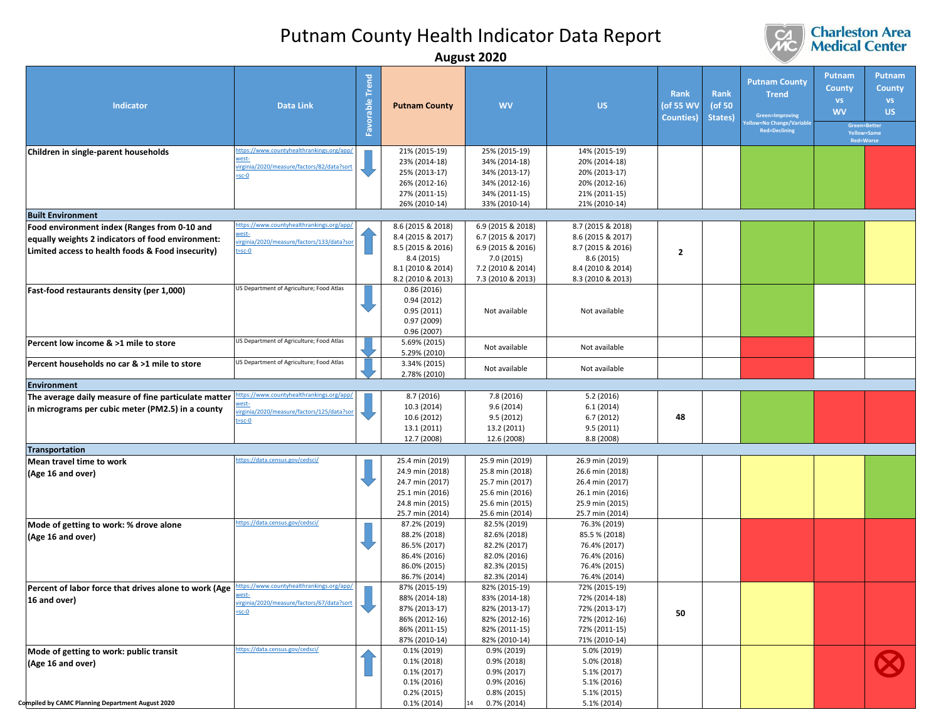

|                                                                                                                                                        | August ZUZU                                                                                                  |                           |                                                                                                          |                                                                                                             |                                                                                                    |                                        |                           |                                                                                                         |                                                   |                                                                                                |
|--------------------------------------------------------------------------------------------------------------------------------------------------------|--------------------------------------------------------------------------------------------------------------|---------------------------|----------------------------------------------------------------------------------------------------------|-------------------------------------------------------------------------------------------------------------|----------------------------------------------------------------------------------------------------|----------------------------------------|---------------------------|---------------------------------------------------------------------------------------------------------|---------------------------------------------------|------------------------------------------------------------------------------------------------|
| Indicator<br>Children in single-parent households                                                                                                      | <b>Data Link</b><br>ttps://www.countyhealthrankings.org/app/<br>vest-                                        | <b>Trend</b><br>Favorable | <b>Putnam County</b><br>21% (2015-19)<br>23% (2014-18)                                                   | <b>WV</b><br>25% (2015-19)<br>34% (2014-18)                                                                 | <b>US</b><br>14% (2015-19)<br>20% (2014-18)                                                        | Rank<br>(of 55 WV<br><b>Counties</b> ) | Rank<br>(of 50<br>States) | <b>Putnam County</b><br><b>Trend</b><br>Green=Improving<br>w=No Change/Variable<br><b>Red=Declining</b> | Putnam<br><b>County</b><br><b>VS</b><br><b>WV</b> | Putnam<br><b>County</b><br><b>VS</b><br>US.<br>Green=Better<br>Yellow=Same<br><b>Red=Worse</b> |
|                                                                                                                                                        | virginia/2020/measure/factors/82/data?sort<br>$-sc-0$                                                        |                           | 25% (2013-17)<br>26% (2012-16)<br>27% (2011-15)<br>26% (2010-14)                                         | 34% (2013-17)<br>34% (2012-16)<br>34% (2011-15)<br>33% (2010-14)                                            | 20% (2013-17)<br>20% (2012-16)<br>21% (2011-15)<br>21% (2010-14)                                   |                                        |                           |                                                                                                         |                                                   |                                                                                                |
| <b>Built Environment</b>                                                                                                                               |                                                                                                              |                           |                                                                                                          |                                                                                                             |                                                                                                    |                                        |                           |                                                                                                         |                                                   |                                                                                                |
| Food environment index (Ranges from 0-10 and<br>equally weights 2 indicators of food environment:<br>Limited access to health foods & Food insecurity) | ttps://www.countyhealthrankings.org/app<br>vest-<br>irginia/2020/measure/factors/133/data?sor<br>$=$ sc-O    |                           | 8.6 (2015 & 2018)<br>8.4 (2015 & 2017)<br>8.5 (2015 & 2016)                                              | 6.9 (2015 & 2018)<br>6.7 (2015 & 2017)<br>6.9 (2015 & 2016)                                                 | 8.7 (2015 & 2018)<br>8.6 (2015 & 2017)<br>8.7 (2015 & 2016)                                        | $\overline{2}$                         |                           |                                                                                                         |                                                   |                                                                                                |
| Fast-food restaurants density (per 1,000)                                                                                                              | US Department of Agriculture; Food Atlas                                                                     |                           | 8.4 (2015)<br>8.1 (2010 & 2014)<br>8.2 (2010 & 2013)<br>0.86(2016)                                       | 7.0 (2015)<br>7.2 (2010 & 2014)<br>7.3 (2010 & 2013)                                                        | 8.6(2015)<br>8.4 (2010 & 2014)<br>8.3 (2010 & 2013)                                                |                                        |                           |                                                                                                         |                                                   |                                                                                                |
|                                                                                                                                                        |                                                                                                              |                           | 0.94(2012)<br>0.95(2011)<br>0.97(2009)<br>0.96(2007)                                                     | Not available                                                                                               | Not available                                                                                      |                                        |                           |                                                                                                         |                                                   |                                                                                                |
| Percent low income & >1 mile to store                                                                                                                  | US Department of Agriculture; Food Atlas                                                                     |                           | 5.69% (2015)<br>5.29% (2010)                                                                             | Not available                                                                                               | Not available                                                                                      |                                        |                           |                                                                                                         |                                                   |                                                                                                |
| Percent households no car & >1 mile to store                                                                                                           | US Department of Agriculture; Food Atlas                                                                     |                           | 3.34% (2015)<br>2.78% (2010)                                                                             | Not available                                                                                               | Not available                                                                                      |                                        |                           |                                                                                                         |                                                   |                                                                                                |
| <b>Environment</b>                                                                                                                                     |                                                                                                              |                           |                                                                                                          |                                                                                                             |                                                                                                    |                                        |                           |                                                                                                         |                                                   |                                                                                                |
| The average daily measure of fine particulate matter<br>in micrograms per cubic meter (PM2.5) in a county                                              | https://www.countyhealthrankings.org/app.<br>rest-<br>virginia/2020/measure/factors/125/data?sor<br>$=$ sc-O |                           | 8.7 (2016)<br>10.3 (2014)<br>10.6 (2012)<br>13.1 (2011)<br>12.7 (2008)                                   | 7.8 (2016)<br>9.6(2014)<br>9.5(2012)<br>13.2 (2011)<br>12.6 (2008)                                          | 5.2(2016)<br>6.1(2014)<br>6.7(2012)<br>9.5(2011)<br>8.8 (2008)                                     | 48                                     |                           |                                                                                                         |                                                   |                                                                                                |
| <b>Transportation</b>                                                                                                                                  |                                                                                                              |                           |                                                                                                          |                                                                                                             |                                                                                                    |                                        |                           |                                                                                                         |                                                   |                                                                                                |
| Mean travel time to work                                                                                                                               | https://data.census.gov/cedsci/                                                                              |                           | 25.4 min (2019)                                                                                          | 25.9 min (2019)                                                                                             | 26.9 min (2019)                                                                                    |                                        |                           |                                                                                                         |                                                   |                                                                                                |
| (Age 16 and over)                                                                                                                                      |                                                                                                              |                           | 24.9 min (2018)<br>24.7 min (2017)<br>25.1 min (2016)<br>24.8 min (2015)<br>25.7 min (2014)              | 25.8 min (2018)<br>25.7 min (2017)<br>25.6 min (2016)<br>25.6 min (2015)<br>25.6 min (2014)                 | 26.6 min (2018)<br>26.4 min (2017)<br>26.1 min (2016)<br>25.9 min (2015)<br>25.7 min (2014)        |                                        |                           |                                                                                                         |                                                   |                                                                                                |
| Mode of getting to work: % drove alone<br>(Age 16 and over)                                                                                            | https://data.census.gov/cedsci/                                                                              |                           | 87.2% (2019)<br>88.2% (2018)<br>86.5% (2017)<br>86.4% (2016)<br>86.0% (2015)<br>86.7% (2014)             | 82.5% (2019)<br>82.6% (2018)<br>82.2% (2017)<br>82.0% (2016)<br>82.3% (2015)<br>82.3% (2014)                | 76.3% (2019)<br>85.5 % (2018)<br>76.4% (2017)<br>76.4% (2016)<br>76.4% (2015)<br>76.4% (2014)      |                                        |                           |                                                                                                         |                                                   |                                                                                                |
| Percent of labor force that drives alone to work (Age https://www.countyhealthrankings.org/app/<br>16 and over)                                        | <u>vest-</u><br>virginia/2020/measure/factors/67/data?sort<br>$-sc-0$                                        |                           | 87% (2015-19)<br>88% (2014-18)<br>87% (2013-17)<br>86% (2012-16)<br>86% (2011-15)<br>87% (2010-14)       | 82% (2015-19)<br>83% (2014-18)<br>82% (2013-17)<br>82% (2012-16)<br>82% (2011-15)<br>82% (2010-14)          | 72% (2015-19)<br>72% (2014-18)<br>72% (2013-17)<br>72% (2012-16)<br>72% (2011-15)<br>71% (2010-14) | 50                                     |                           |                                                                                                         |                                                   |                                                                                                |
| Mode of getting to work: public transit<br>(Age 16 and over)<br>Compiled by CAMC Planning Department August 2020                                       | https://data.census.gov/cedsci/                                                                              |                           | $0.1\%$ (2019)<br>$0.1\%$ (2018)<br>$0.1\%$ (2017)<br>$0.1\%$ (2016)<br>$0.2\%$ (2015)<br>$0.1\%$ (2014) | 0.9% (2019)<br>$0.9\%$ (2018)<br>$0.9\%$ (2017)<br>$0.9\%$ (2016)<br>$0.8\%$ (2015)<br>$0.7\%$ (2014)<br>14 | 5.0% (2019)<br>5.0% (2018)<br>5.1% (2017)<br>5.1% (2016)<br>5.1% (2015)<br>5.1% (2014)             |                                        |                           |                                                                                                         |                                                   |                                                                                                |